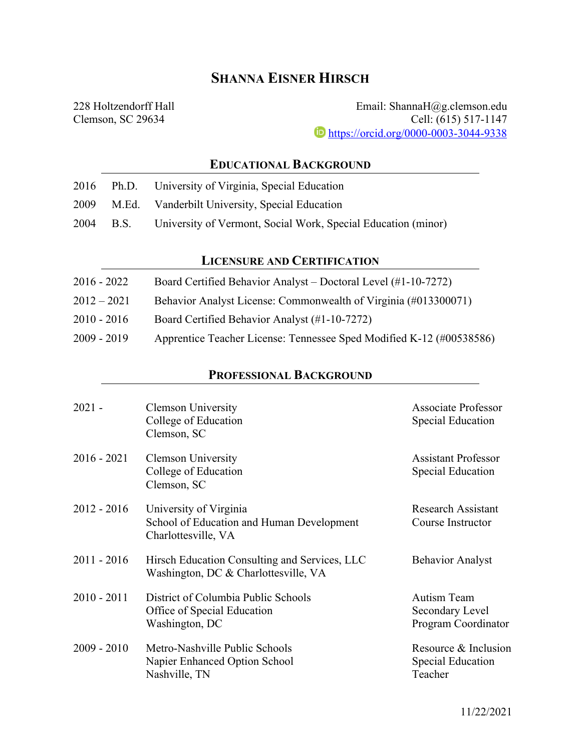# **SHANNA EISNER HIRSCH**

228 Holtzendorff Hall Clemson, SC 29634

Email: ShannaH@g.clemson.edu Cell: (615) 517-1147 **i** https://orcid.org/0000-0003-3044-9338

## **EDUCATIONAL BACKGROUND**

|  | 2016 Ph.D. University of Virginia, Special Education                    |
|--|-------------------------------------------------------------------------|
|  | 2009 M.Ed. Vanderbilt University, Special Education                     |
|  | 2004 B.S. University of Vermont, Social Work, Special Education (minor) |

## **LICENSURE AND CERTIFICATION**

| 2016 - 2022 | Board Certified Behavior Analyst – Doctoral Level (#1-10-7272)       |
|-------------|----------------------------------------------------------------------|
| 2012 – 2021 | Behavior Analyst License: Commonwealth of Virginia (#013300071)      |
| 2010 - 2016 | Board Certified Behavior Analyst (#1-10-7272)                        |
| 2009 - 2019 | Apprentice Teacher License: Tennessee Sped Modified K-12 (#00538586) |

## **PROFESSIONAL BACKGROUND**

| $2021 -$      | <b>Clemson University</b><br>College of Education<br>Clemson, SC                           | <b>Associate Professor</b><br>Special Education              |
|---------------|--------------------------------------------------------------------------------------------|--------------------------------------------------------------|
| $2016 - 2021$ | <b>Clemson University</b><br>College of Education<br>Clemson, SC                           | <b>Assistant Professor</b><br>Special Education              |
| $2012 - 2016$ | University of Virginia<br>School of Education and Human Development<br>Charlottesville, VA | <b>Research Assistant</b><br>Course Instructor               |
| $2011 - 2016$ | Hirsch Education Consulting and Services, LLC<br>Washington, DC & Charlottesville, VA      | <b>Behavior Analyst</b>                                      |
| $2010 - 2011$ | District of Columbia Public Schools<br>Office of Special Education<br>Washington, DC       | <b>Autism Team</b><br>Secondary Level<br>Program Coordinator |
| $2009 - 2010$ | Metro-Nashville Public Schools<br>Napier Enhanced Option School<br>Nashville, TN           | Resource & Inclusion<br>Special Education<br>Teacher         |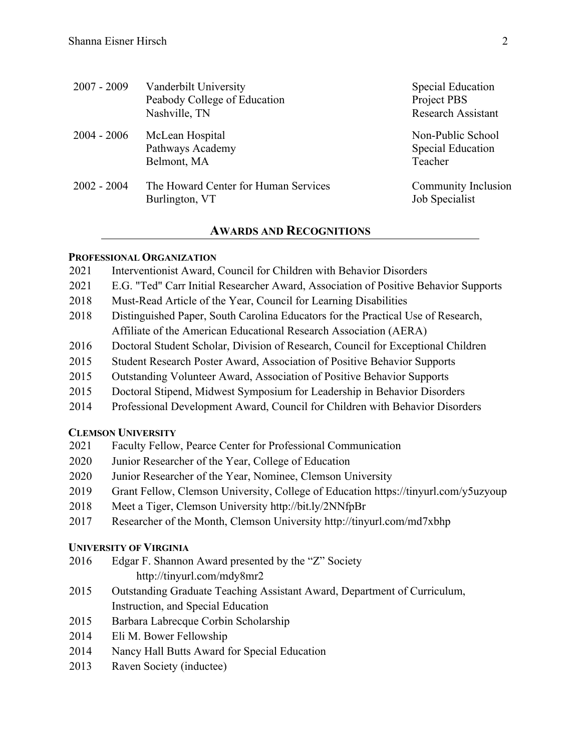| $2007 - 2009$ | Vanderbilt University<br>Peabody College of Education<br>Nashville, TN | <b>Special Education</b><br>Project PBS<br>Research Assistant |
|---------------|------------------------------------------------------------------------|---------------------------------------------------------------|
| $2004 - 2006$ | McLean Hospital<br>Pathways Academy<br>Belmont, MA                     | Non-Public School<br><b>Special Education</b><br>Teacher      |
| $2002 - 2004$ | The Howard Center for Human Services<br>Burlington, VT                 | Community Inclusion<br>Job Specialist                         |

### **AWARDS AND RECOGNITIONS**

#### **PROFESSIONAL ORGANIZATION**

- 2021 Interventionist Award, Council for Children with Behavior Disorders
- 2021 E.G. "Ted" Carr Initial Researcher Award, Association of Positive Behavior Supports
- 2018 Must-Read Article of the Year, Council for Learning Disabilities
- 2018 Distinguished Paper, South Carolina Educators for the Practical Use of Research, Affiliate of the American Educational Research Association (AERA)
- 2016 Doctoral Student Scholar, Division of Research, Council for Exceptional Children
- 2015 Student Research Poster Award, Association of Positive Behavior Supports
- 2015 Outstanding Volunteer Award, Association of Positive Behavior Supports
- 2015 Doctoral Stipend, Midwest Symposium for Leadership in Behavior Disorders
- 2014 Professional Development Award, Council for Children with Behavior Disorders

#### **CLEMSON UNIVERSITY**

- 2021 Faculty Fellow, Pearce Center for Professional Communication
- 2020 Junior Researcher of the Year, College of Education
- 2020 Junior Researcher of the Year, Nominee, Clemson University
- 2019 Grant Fellow, Clemson University, College of Education https://tinyurl.com/y5uzyoup
- 2018 Meet a Tiger, Clemson University http://bit.ly/2NNfpBr
- 2017 Researcher of the Month, Clemson University http://tinyurl.com/md7xbhp

### **UNIVERSITY OF VIRGINIA**

- 2016 Edgar F. Shannon Award presented by the "Z" Society http://tinyurl.com/mdy8mr2
- 2015 Outstanding Graduate Teaching Assistant Award, Department of Curriculum, Instruction, and Special Education
- 2015 Barbara Labrecque Corbin Scholarship
- 2014 Eli M. Bower Fellowship
- 2014 Nancy Hall Butts Award for Special Education
- 2013 Raven Society (inductee)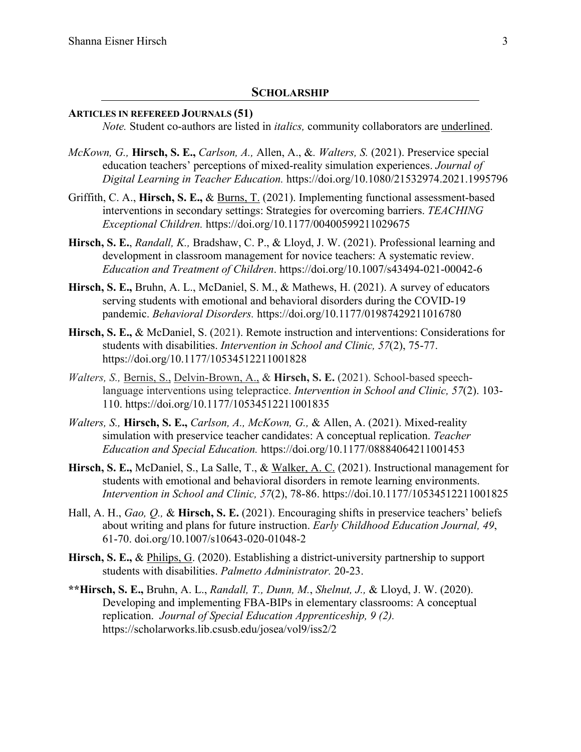#### **SCHOLARSHIP**

#### **ARTICLES IN REFEREED JOURNALS (51)**

*Note.* Student co-authors are listed in *italics,* community collaborators are underlined.

- *McKown, G.,* **Hirsch, S. E.,** *Carlson, A.,* Allen, A., &*. Walters, S.* (2021). Preservice special education teachers' perceptions of mixed-reality simulation experiences. *Journal of Digital Learning in Teacher Education.* https://doi.org/10.1080/21532974.2021.1995796
- Griffith, C. A., **Hirsch, S. E.,** & Burns, T. (2021). Implementing functional assessment-based interventions in secondary settings: Strategies for overcoming barriers. *TEACHING Exceptional Children.* https://doi.org/10.1177/00400599211029675
- **Hirsch, S. E.**, *Randall, K.,* Bradshaw, C. P., & Lloyd, J. W. (2021). Professional learning and development in classroom management for novice teachers: A systematic review. *Education and Treatment of Children*. https://doi.org/10.1007/s43494-021-00042-6
- **Hirsch, S. E.,** Bruhn, A. L., McDaniel, S. M., & Mathews, H. (2021). A survey of educators serving students with emotional and behavioral disorders during the COVID-19 pandemic. *Behavioral Disorders.* https://doi.org/10.1177/01987429211016780
- **Hirsch, S. E.,** & McDaniel, S. (2021). Remote instruction and interventions: Considerations for students with disabilities. *Intervention in School and Clinic, 57*(2), 75-77. https://doi.org/10.1177/10534512211001828
- *Walters, S.,* Bernis, S., Delvin-Brown, A., & **Hirsch, S. E.** (2021). School-based speechlanguage interventions using telepractice. *Intervention in School and Clinic, 57*(2). 103- 110. https://doi.org/10.1177/10534512211001835
- *Walters, S.,* **Hirsch, S. E.,** *Carlson, A., McKown, G.,* & Allen, A. (2021). Mixed-reality simulation with preservice teacher candidates: A conceptual replication. *Teacher Education and Special Education.* https://doi.org/10.1177/08884064211001453
- **Hirsch, S. E.,** McDaniel, S., La Salle, T., & Walker, A. C. (2021). Instructional management for students with emotional and behavioral disorders in remote learning environments. *Intervention in School and Clinic, 57*(2), 78-86. https://doi.10.1177/10534512211001825
- Hall, A. H., *Gao, Q.,* & **Hirsch, S. E.** (2021). Encouraging shifts in preservice teachers' beliefs about writing and plans for future instruction. *Early Childhood Education Journal, 49*, 61-70. doi.org/10.1007/s10643-020-01048-2
- **Hirsch, S. E.,** & Philips, G. (2020). Establishing a district-university partnership to support students with disabilities. *Palmetto Administrator.* 20-23.
- **\*\*Hirsch, S. E.,** Bruhn, A. L., *Randall, T., Dunn, M.*, *Shelnut, J.,* & Lloyd, J. W. (2020). Developing and implementing FBA-BIPs in elementary classrooms: A conceptual replication. *Journal of Special Education Apprenticeship, 9 (2).*  https://scholarworks.lib.csusb.edu/josea/vol9/iss2/2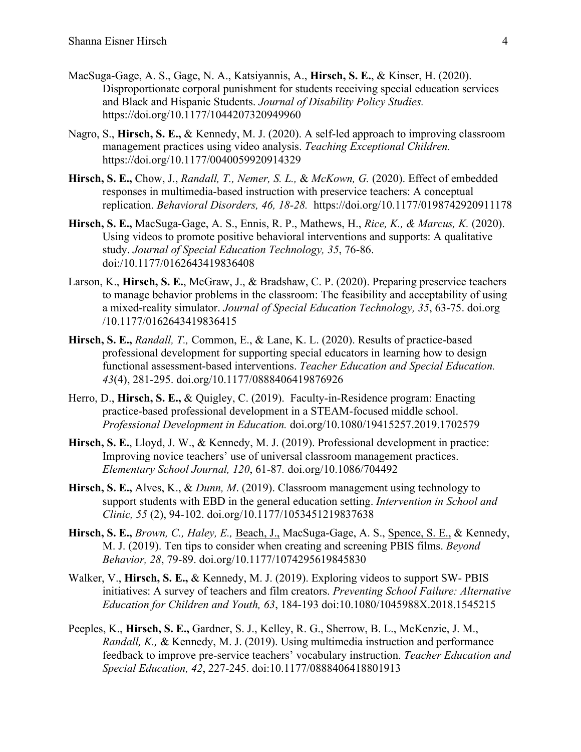- MacSuga-Gage, A. S., Gage, N. A., Katsiyannis, A., **Hirsch, S. E.**, & Kinser, H. (2020). Disproportionate corporal punishment for students receiving special education services and Black and Hispanic Students. *Journal of Disability Policy Studies.* https://doi.org/10.1177/1044207320949960
- Nagro, S., **Hirsch, S. E.,** & Kennedy, M. J. (2020). A self-led approach to improving classroom management practices using video analysis. *Teaching Exceptional Children.* https://doi.org/10.1177/0040059920914329
- **Hirsch, S. E.,** Chow, J., *Randall, T., Nemer, S. L.,* & *McKown, G.* (2020). Effect of embedded responses in multimedia-based instruction with preservice teachers: A conceptual replication. *Behavioral Disorders, 46, 18-28.* https://doi.org/10.1177/0198742920911178
- **Hirsch, S. E.,** MacSuga-Gage, A. S., Ennis, R. P., Mathews, H., *Rice, K., & Marcus, K.* (2020). Using videos to promote positive behavioral interventions and supports: A qualitative study. *Journal of Special Education Technology, 35*, 76-86. doi:/10.1177/0162643419836408
- Larson, K., **Hirsch, S. E.**, McGraw, J., & Bradshaw, C. P. (2020). Preparing preservice teachers to manage behavior problems in the classroom: The feasibility and acceptability of using a mixed-reality simulator. *Journal of Special Education Technology, 35*, 63-75. doi.org /10.1177/0162643419836415
- **Hirsch, S. E.,** *Randall, T.,* Common, E., & Lane, K. L. (2020). Results of practice-based professional development for supporting special educators in learning how to design functional assessment-based interventions. *Teacher Education and Special Education. 43*(4), 281-295. doi.org/10.1177/0888406419876926
- Herro, D., **Hirsch, S. E.,** & Quigley, C. (2019). Faculty-in-Residence program: Enacting practice-based professional development in a STEAM-focused middle school. *Professional Development in Education.* doi.org/10.1080/19415257.2019.1702579
- **Hirsch, S. E.**, Lloyd, J. W., & Kennedy, M. J. (2019). Professional development in practice: Improving novice teachers' use of universal classroom management practices. *Elementary School Journal, 120*, 61-87*.* doi.org/10.1086/704492
- **Hirsch, S. E.,** Alves, K., & *Dunn, M*. (2019). Classroom management using technology to support students with EBD in the general education setting. *Intervention in School and Clinic, 55* (2), 94-102. doi.org/10.1177/1053451219837638
- **Hirsch, S. E.,** *Brown, C., Haley, E.,* Beach, J., MacSuga-Gage, A. S., Spence, S. E., & Kennedy, M. J. (2019). Ten tips to consider when creating and screening PBIS films. *Beyond Behavior, 28*, 79-89. doi.org/10.1177/1074295619845830
- Walker, V., **Hirsch, S. E.,** & Kennedy, M. J. (2019). Exploring videos to support SW- PBIS initiatives: A survey of teachers and film creators. *Preventing School Failure: Alternative Education for Children and Youth, 63*, 184-193 doi:10.1080/1045988X.2018.1545215
- Peeples, K., **Hirsch, S. E.,** Gardner, S. J., Kelley, R. G., Sherrow, B. L., McKenzie, J. M., *Randall, K.,* & Kennedy, M. J. (2019). Using multimedia instruction and performance feedback to improve pre-service teachers' vocabulary instruction. *Teacher Education and Special Education, 42*, 227-245. doi:10.1177/0888406418801913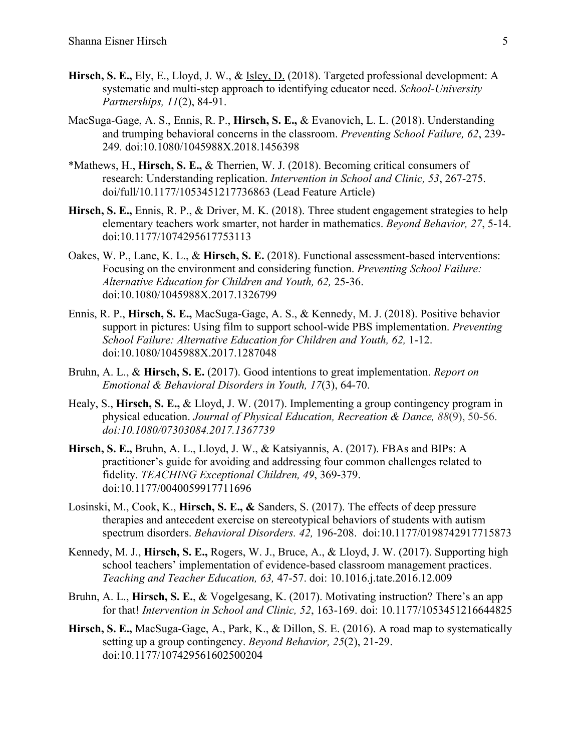- **Hirsch, S. E.,** Ely, E., Lloyd, J. W., & Isley, D. (2018). Targeted professional development: A systematic and multi-step approach to identifying educator need. *School-University Partnerships, 11*(2), 84-91.
- MacSuga-Gage, A. S., Ennis, R. P., **Hirsch, S. E.,** & Evanovich, L. L. (2018). Understanding and trumping behavioral concerns in the classroom. *Preventing School Failure, 62*, 239- 249*.* doi:10.1080/1045988X.2018.1456398
- \*Mathews, H., **Hirsch, S. E.,** & Therrien, W. J. (2018). Becoming critical consumers of research: Understanding replication. *Intervention in School and Clinic, 53*, 267-275. doi/full/10.1177/1053451217736863 (Lead Feature Article)
- **Hirsch, S. E.,** Ennis, R. P., & Driver, M. K. (2018). Three student engagement strategies to help elementary teachers work smarter, not harder in mathematics. *Beyond Behavior, 27*, 5-14. doi:10.1177/1074295617753113
- Oakes, W. P., Lane, K. L., & **Hirsch, S. E.** (2018). Functional assessment-based interventions: Focusing on the environment and considering function. *Preventing School Failure: Alternative Education for Children and Youth, 62,* 25-36. doi:10.1080/1045988X.2017.1326799
- Ennis, R. P., **Hirsch, S. E.,** MacSuga-Gage, A. S., & Kennedy, M. J. (2018). Positive behavior support in pictures: Using film to support school-wide PBS implementation. *Preventing School Failure: Alternative Education for Children and Youth, 62,* 1-12. doi:10.1080/1045988X.2017.1287048
- Bruhn, A. L., & **Hirsch, S. E.** (2017). Good intentions to great implementation. *Report on Emotional & Behavioral Disorders in Youth, 17*(3), 64-70.
- Healy, S., **Hirsch, S. E.,** & Lloyd, J. W. (2017). Implementing a group contingency program in physical education. *Journal of Physical Education, Recreation & Dance, 88*(9), 50-56. *doi:10.1080/07303084.2017.1367739*
- **Hirsch, S. E.,** Bruhn, A. L., Lloyd, J. W., & Katsiyannis, A. (2017). FBAs and BIPs: A practitioner's guide for avoiding and addressing four common challenges related to fidelity. *TEACHING Exceptional Children, 49*, 369-379. doi:10.1177/0040059917711696
- Losinski, M., Cook, K., **Hirsch, S. E., &** Sanders, S. (2017). The effects of deep pressure therapies and antecedent exercise on stereotypical behaviors of students with autism spectrum disorders. *Behavioral Disorders. 42,* 196-208. doi:10.1177/0198742917715873
- Kennedy, M. J., **Hirsch, S. E.,** Rogers, W. J., Bruce, A., & Lloyd, J. W. (2017). Supporting high school teachers' implementation of evidence-based classroom management practices. *Teaching and Teacher Education, 63,* 47-57. doi: 10.1016.j.tate.2016.12.009
- Bruhn, A. L., **Hirsch, S. E.**, & Vogelgesang, K. (2017). Motivating instruction? There's an app for that! *Intervention in School and Clinic, 52*, 163-169. doi: 10.1177/1053451216644825
- **Hirsch, S. E.,** MacSuga-Gage, A., Park, K., & Dillon, S. E. (2016). A road map to systematically setting up a group contingency. *Beyond Behavior, 25*(2), 21-29. doi:10.1177/107429561602500204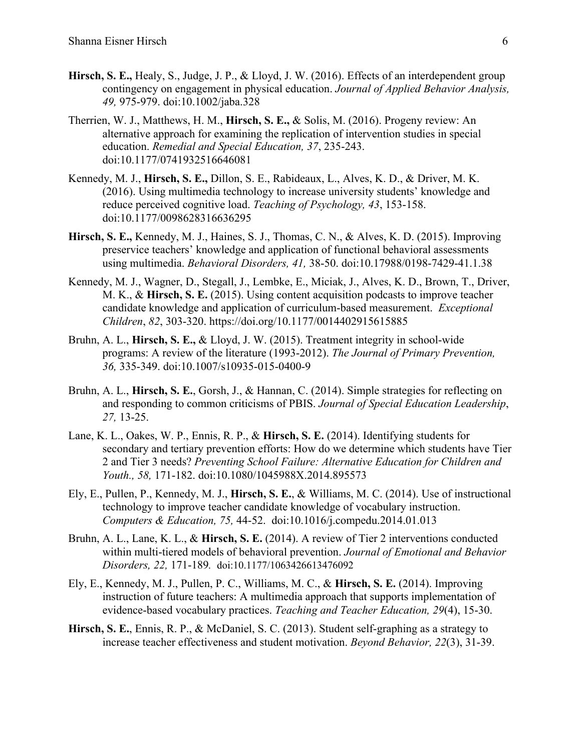- **Hirsch, S. E.,** Healy, S., Judge, J. P., & Lloyd, J. W. (2016). Effects of an interdependent group contingency on engagement in physical education. *Journal of Applied Behavior Analysis, 49,* 975-979. doi:10.1002/jaba.328
- Therrien, W. J., Matthews, H. M., **Hirsch, S. E.,** & Solis, M. (2016). Progeny review: An alternative approach for examining the replication of intervention studies in special education. *Remedial and Special Education, 37*, 235-243. doi:10.1177/0741932516646081
- Kennedy, M. J., **Hirsch, S. E.,** Dillon, S. E., Rabideaux, L., Alves, K. D., & Driver, M. K. (2016). Using multimedia technology to increase university students' knowledge and reduce perceived cognitive load. *Teaching of Psychology, 43*, 153-158. doi:10.1177/0098628316636295
- **Hirsch, S. E.,** Kennedy, M. J., Haines, S. J., Thomas, C. N., & Alves, K. D. (2015). Improving preservice teachers' knowledge and application of functional behavioral assessments using multimedia. *Behavioral Disorders, 41,* 38-50. doi:10.17988/0198-7429-41.1.38
- Kennedy, M. J., Wagner, D., Stegall, J., Lembke, E., Miciak, J., Alves, K. D., Brown, T., Driver, M. K., & **Hirsch, S. E.** (2015). Using content acquisition podcasts to improve teacher candidate knowledge and application of curriculum-based measurement. *Exceptional Children*, *82*, 303-320. https://doi.org/10.1177/0014402915615885
- Bruhn, A. L., **Hirsch, S. E.,** & Lloyd, J. W. (2015). Treatment integrity in school-wide programs: A review of the literature (1993-2012). *The Journal of Primary Prevention, 36,* 335-349. doi:10.1007/s10935-015-0400-9
- Bruhn, A. L., **Hirsch, S. E.**, Gorsh, J., & Hannan, C. (2014). Simple strategies for reflecting on and responding to common criticisms of PBIS. *Journal of Special Education Leadership*, *27,* 13-25.
- Lane, K. L., Oakes, W. P., Ennis, R. P., & **Hirsch, S. E.** (2014). Identifying students for secondary and tertiary prevention efforts: How do we determine which students have Tier 2 and Tier 3 needs? *Preventing School Failure: Alternative Education for Children and Youth., 58,* 171-182. doi:10.1080/1045988X.2014.895573
- Ely, E., Pullen, P., Kennedy, M. J., **Hirsch, S. E.**, & Williams, M. C. (2014). Use of instructional technology to improve teacher candidate knowledge of vocabulary instruction. *Computers & Education, 75,* 44-52. doi:10.1016/j.compedu.2014.01.013
- Bruhn, A. L., Lane, K. L., & **Hirsch, S. E.** (2014). A review of Tier 2 interventions conducted within multi-tiered models of behavioral prevention. *Journal of Emotional and Behavior Disorders, 22,* 171-189*.* doi:10.1177/1063426613476092
- Ely, E., Kennedy, M. J., Pullen, P. C., Williams, M. C., & **Hirsch, S. E.** (2014). Improving instruction of future teachers: A multimedia approach that supports implementation of evidence-based vocabulary practices. *Teaching and Teacher Education, 29*(4), 15-30.
- **Hirsch, S. E.**, Ennis, R. P., & McDaniel, S. C. (2013). Student self-graphing as a strategy to increase teacher effectiveness and student motivation. *Beyond Behavior, 22*(3), 31-39.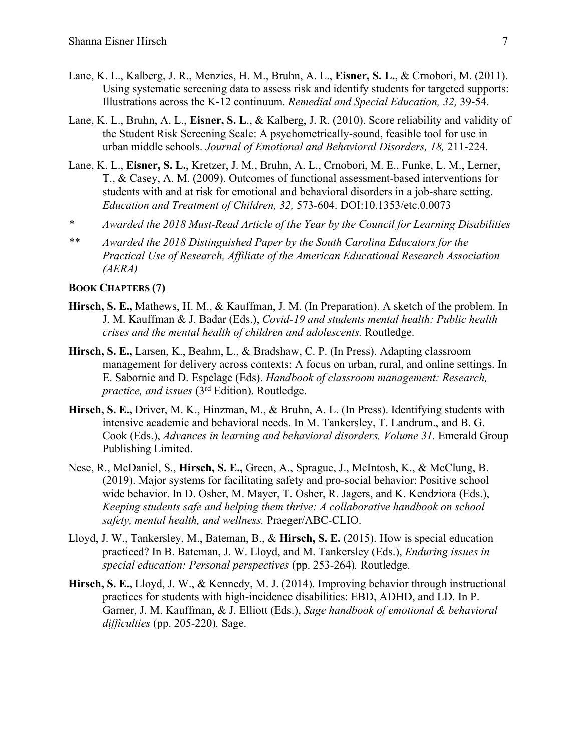- Lane, K. L., Kalberg, J. R., Menzies, H. M., Bruhn, A. L., **Eisner, S. L.**, & Crnobori, M. (2011). Using systematic screening data to assess risk and identify students for targeted supports: Illustrations across the K-12 continuum. *Remedial and Special Education, 32,* 39-54.
- Lane, K. L., Bruhn, A. L., **Eisner, S. L**., & Kalberg, J. R. (2010). Score reliability and validity of the Student Risk Screening Scale: A psychometrically-sound, feasible tool for use in urban middle schools. *Journal of Emotional and Behavioral Disorders, 18,* 211-224.
- Lane, K. L., **Eisner, S. L.**, Kretzer, J. M., Bruhn, A. L., Crnobori, M. E., Funke, L. M., Lerner, T., & Casey, A. M. (2009). Outcomes of functional assessment-based interventions for students with and at risk for emotional and behavioral disorders in a job-share setting. *Education and Treatment of Children, 32,* 573-604. DOI:10.1353/etc.0.0073
- *\* Awarded the 2018 Must-Read Article of the Year by the Council for Learning Disabilities*
- *\*\* Awarded the 2018 Distinguished Paper by the South Carolina Educators for the Practical Use of Research, Affiliate of the American Educational Research Association (AERA)*

### **BOOK CHAPTERS (7)**

- **Hirsch, S. E.,** Mathews, H. M., & Kauffman, J. M. (In Preparation). A sketch of the problem. In J. M. Kauffman & J. Badar (Eds.), *Covid-19 and students mental health: Public health crises and the mental health of children and adolescents.* Routledge.
- **Hirsch, S. E.,** Larsen, K., Beahm, L., & Bradshaw, C. P. (In Press). Adapting classroom management for delivery across contexts: A focus on urban, rural, and online settings. In E. Sabornie and D. Espelage (Eds). *Handbook of classroom management: Research, practice, and issues* (3rd Edition). Routledge.
- **Hirsch, S. E.,** Driver, M. K., Hinzman, M., & Bruhn, A. L. (In Press). Identifying students with intensive academic and behavioral needs. In M. Tankersley, T. Landrum., and B. G. Cook (Eds.), *Advances in learning and behavioral disorders, Volume 31.* Emerald Group Publishing Limited.
- Nese, R., McDaniel, S., **Hirsch, S. E.,** Green, A., Sprague, J., McIntosh, K., & McClung, B. (2019). Major systems for facilitating safety and pro-social behavior: Positive school wide behavior. In D. Osher, M. Mayer, T. Osher, R. Jagers, and K. Kendziora (Eds.), *Keeping students safe and helping them thrive: A collaborative handbook on school safety, mental health, and wellness.* Praeger/ABC-CLIO.
- Lloyd, J. W., Tankersley, M., Bateman, B., & **Hirsch, S. E.** (2015). How is special education practiced? In B. Bateman, J. W. Lloyd, and M. Tankersley (Eds.), *Enduring issues in special education: Personal perspectives* (pp. 253-264)*.* Routledge.
- **Hirsch, S. E.,** Lloyd, J. W., & Kennedy, M. J. (2014). Improving behavior through instructional practices for students with high-incidence disabilities: EBD, ADHD, and LD. In P. Garner, J. M. Kauffman, & J. Elliott (Eds.), *Sage handbook of emotional & behavioral difficulties* (pp. 205-220)*.* Sage.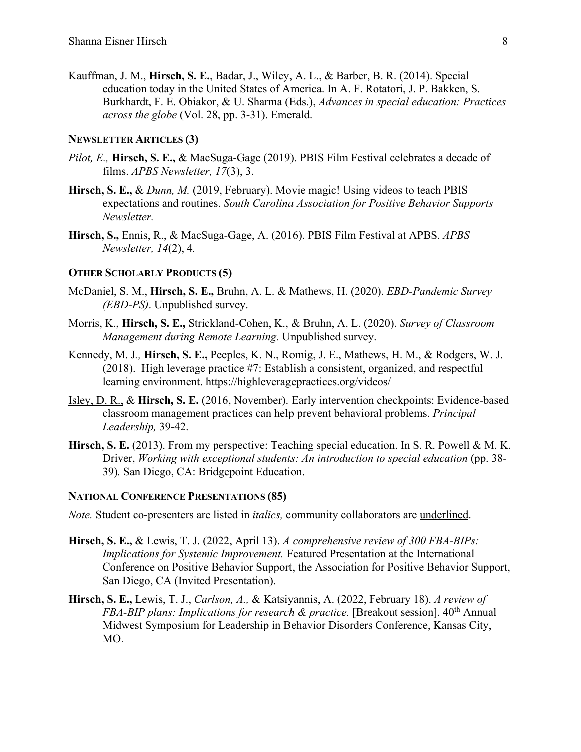Kauffman, J. M., **Hirsch, S. E.**, Badar, J., Wiley, A. L., & Barber, B. R. (2014). Special education today in the United States of America. In A. F. Rotatori, J. P. Bakken, S. Burkhardt, F. E. Obiakor, & U. Sharma (Eds.), *Advances in special education: Practices across the globe* (Vol. 28, pp. 3-31). Emerald.

#### **NEWSLETTER ARTICLES (3)**

- *Pilot, E.,* **Hirsch, S. E.,** & MacSuga-Gage (2019). PBIS Film Festival celebrates a decade of films. *APBS Newsletter, 17*(3), 3.
- **Hirsch, S. E.,** & *Dunn, M.* (2019, February). Movie magic! Using videos to teach PBIS expectations and routines. *South Carolina Association for Positive Behavior Supports Newsletter.*
- **Hirsch, S.,** Ennis, R., & MacSuga-Gage, A. (2016). PBIS Film Festival at APBS. *APBS Newsletter, 14*(2), 4*.*

#### **OTHER SCHOLARLY PRODUCTS (5)**

- McDaniel, S. M., **Hirsch, S. E.,** Bruhn, A. L. & Mathews, H. (2020). *EBD-Pandemic Survey (EBD-PS)*. Unpublished survey.
- Morris, K., **Hirsch, S. E.,** Strickland-Cohen, K., & Bruhn, A. L. (2020). *Survey of Classroom Management during Remote Learning.* Unpublished survey.
- Kennedy, M. J*.,* **Hirsch, S. E.,** Peeples, K. N., Romig, J. E., Mathews, H. M., & Rodgers, W. J. (2018). High leverage practice #7: Establish a consistent, organized, and respectful learning environment. https://highleveragepractices.org/videos/
- Isley, D. R., & **Hirsch, S. E.** (2016, November). Early intervention checkpoints: Evidence-based classroom management practices can help prevent behavioral problems. *Principal Leadership,* 39-42.
- **Hirsch, S. E.** (2013). From my perspective: Teaching special education. In S. R. Powell & M. K. Driver, *Working with exceptional students: An introduction to special education* (pp. 38-39)*.* San Diego, CA: Bridgepoint Education.

### **NATIONAL CONFERENCE PRESENTATIONS (85)**

*Note.* Student co-presenters are listed in *italics,* community collaborators are underlined.

- **Hirsch, S. E.,** & Lewis, T. J. (2022, April 13). *A comprehensive review of 300 FBA-BIPs: Implications for Systemic Improvement.* Featured Presentation at the International Conference on Positive Behavior Support, the Association for Positive Behavior Support, San Diego, CA (Invited Presentation).
- **Hirsch, S. E.,** Lewis, T. J., *Carlson, A.,* & Katsiyannis, A. (2022, February 18). *A review of FBA-BIP plans: Implications for research & practice.* [Breakout session].  $40<sup>th</sup>$  Annual Midwest Symposium for Leadership in Behavior Disorders Conference, Kansas City, MO.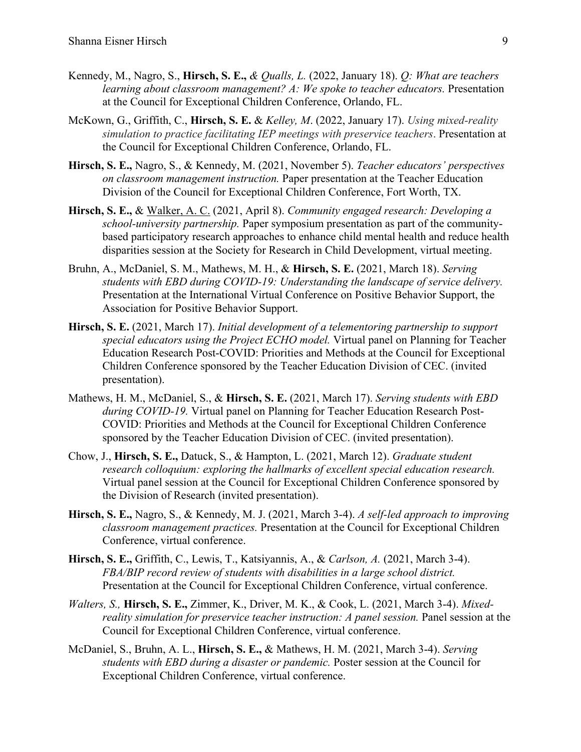- Kennedy, M., Nagro, S., **Hirsch, S. E.,** *& Qualls, L.* (2022, January 18). *Q: What are teachers learning about classroom management? A: We spoke to teacher educators.* Presentation at the Council for Exceptional Children Conference, Orlando, FL.
- McKown, G., Griffith, C., **Hirsch, S. E.** & *Kelley, M*. (2022, January 17). *Using mixed-reality simulation to practice facilitating IEP meetings with preservice teachers*. Presentation at the Council for Exceptional Children Conference, Orlando, FL.
- **Hirsch, S. E.,** Nagro, S., & Kennedy, M. (2021, November 5). *Teacher educators' perspectives on classroom management instruction.* Paper presentation at the Teacher Education Division of the Council for Exceptional Children Conference, Fort Worth, TX.
- **Hirsch, S. E.,** & Walker, A. C. (2021, April 8). *Community engaged research: Developing a school-university partnership.* Paper symposium presentation as part of the communitybased participatory research approaches to enhance child mental health and reduce health disparities session at the Society for Research in Child Development, virtual meeting.
- Bruhn, A., McDaniel, S. M., Mathews, M. H., & **Hirsch, S. E.** (2021, March 18). *Serving students with EBD during COVID-19: Understanding the landscape of service delivery.* Presentation at the International Virtual Conference on Positive Behavior Support, the Association for Positive Behavior Support.
- **Hirsch, S. E.** (2021, March 17). *Initial development of a telementoring partnership to support special educators using the Project ECHO model.* Virtual panel on Planning for Teacher Education Research Post-COVID: Priorities and Methods at the Council for Exceptional Children Conference sponsored by the Teacher Education Division of CEC. (invited presentation).
- Mathews, H. M., McDaniel, S., & **Hirsch, S. E.** (2021, March 17). *Serving students with EBD during COVID-19.* Virtual panel on Planning for Teacher Education Research Post-COVID: Priorities and Methods at the Council for Exceptional Children Conference sponsored by the Teacher Education Division of CEC. (invited presentation).
- Chow, J., **Hirsch, S. E.,** Datuck, S., & Hampton, L. (2021, March 12). *Graduate student research colloquium: exploring the hallmarks of excellent special education research.* Virtual panel session at the Council for Exceptional Children Conference sponsored by the Division of Research (invited presentation).
- **Hirsch, S. E.,** Nagro, S., & Kennedy, M. J. (2021, March 3-4). *A self-led approach to improving classroom management practices.* Presentation at the Council for Exceptional Children Conference, virtual conference.
- **Hirsch, S. E.,** Griffith, C., Lewis, T., Katsiyannis, A., & *Carlson, A.* (2021, March 3-4). *FBA/BIP record review of students with disabilities in a large school district.*  Presentation at the Council for Exceptional Children Conference, virtual conference.
- *Walters, S.,* **Hirsch, S. E.,** Zimmer, K., Driver, M. K., & Cook, L. (2021, March 3-4). *Mixedreality simulation for preservice teacher instruction: A panel session.* Panel session at the Council for Exceptional Children Conference, virtual conference.
- McDaniel, S., Bruhn, A. L., **Hirsch, S. E.,** & Mathews, H. M. (2021, March 3-4). *Serving students with EBD during a disaster or pandemic.* Poster session at the Council for Exceptional Children Conference, virtual conference.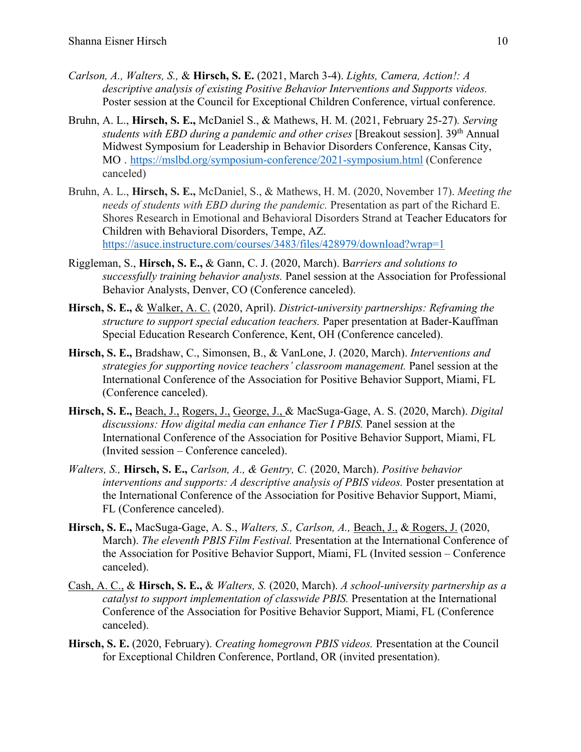- *Carlson, A., Walters, S.,* & **Hirsch, S. E.** (2021, March 3-4). *Lights, Camera, Action!: A descriptive analysis of existing Positive Behavior Interventions and Supports videos.* Poster session at the Council for Exceptional Children Conference, virtual conference.
- Bruhn, A. L., **Hirsch, S. E.,** McDaniel S., & Mathews, H. M. (2021, February 25-27)*. Serving students with EBD during a pandemic and other crises* [Breakout session]. 39th Annual Midwest Symposium for Leadership in Behavior Disorders Conference, Kansas City, MO . https://mslbd.org/symposium-conference/2021-symposium.html (Conference canceled)
- Bruhn, A. L., **Hirsch, S. E.,** McDaniel, S., & Mathews, H. M. (2020, November 17). *Meeting the needs of students with EBD during the pandemic.* Presentation as part of the Richard E. Shores Research in Emotional and Behavioral Disorders Strand at Teacher Educators for Children with Behavioral Disorders, Tempe, AZ. https://asuce.instructure.com/courses/3483/files/428979/download?wrap=1
- Riggleman, S., **Hirsch, S. E.,** & Gann, C. J. (2020, March). B*arriers and solutions to successfully training behavior analysts.* Panel session at the Association for Professional Behavior Analysts, Denver, CO (Conference canceled).
- **Hirsch, S. E.,** & Walker, A. C. (2020, April). *District-university partnerships: Reframing the structure to support special education teachers.* Paper presentation at Bader-Kauffman Special Education Research Conference, Kent, OH (Conference canceled).
- **Hirsch, S. E.,** Bradshaw, C., Simonsen, B., & VanLone, J. (2020, March). *Interventions and strategies for supporting novice teachers' classroom management.* Panel session at the International Conference of the Association for Positive Behavior Support, Miami, FL (Conference canceled).
- **Hirsch, S. E.,** Beach, J., Rogers, J., George, J., & MacSuga-Gage, A. S. (2020, March). *Digital discussions: How digital media can enhance Tier I PBIS.* Panel session at the International Conference of the Association for Positive Behavior Support, Miami, FL (Invited session – Conference canceled).
- *Walters, S.,* **Hirsch, S. E.,** *Carlson, A., & Gentry, C.* (2020, March). *Positive behavior interventions and supports: A descriptive analysis of PBIS videos.* Poster presentation at the International Conference of the Association for Positive Behavior Support, Miami, FL (Conference canceled).
- **Hirsch, S. E.,** MacSuga-Gage, A. S., *Walters, S., Carlson, A.,* Beach, J., & Rogers, J. (2020, March). *The eleventh PBIS Film Festival.* Presentation at the International Conference of the Association for Positive Behavior Support, Miami, FL (Invited session – Conference canceled).
- Cash, A. C., & **Hirsch, S. E.,** & *Walters, S.* (2020, March). *A school-university partnership as a catalyst to support implementation of classwide PBIS.* Presentation at the International Conference of the Association for Positive Behavior Support, Miami, FL (Conference canceled).
- **Hirsch, S. E.** (2020, February). *Creating homegrown PBIS videos.* Presentation at the Council for Exceptional Children Conference, Portland, OR (invited presentation).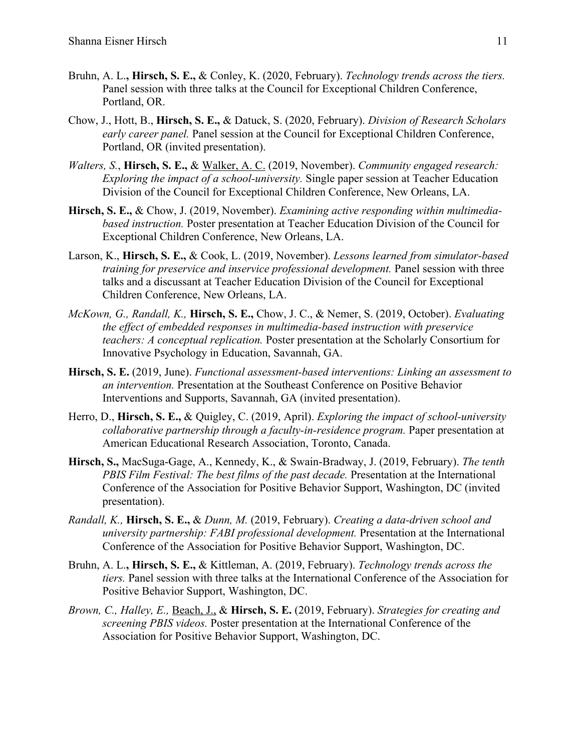- Bruhn, A. L.**, Hirsch, S. E.,** & Conley, K. (2020, February). *Technology trends across the tiers.* Panel session with three talks at the Council for Exceptional Children Conference, Portland, OR.
- Chow, J., Hott, B., **Hirsch, S. E.,** & Datuck, S. (2020, February). *Division of Research Scholars early career panel.* Panel session at the Council for Exceptional Children Conference, Portland, OR (invited presentation).
- *Walters, S.*, **Hirsch, S. E.,** & Walker, A. C. (2019, November). *Community engaged research: Exploring the impact of a school-university.* Single paper session at Teacher Education Division of the Council for Exceptional Children Conference, New Orleans, LA.
- **Hirsch, S. E.,** & Chow, J. (2019, November). *Examining active responding within multimediabased instruction.* Poster presentation at Teacher Education Division of the Council for Exceptional Children Conference, New Orleans, LA.
- Larson, K., **Hirsch, S. E.,** & Cook, L. (2019, November). *Lessons learned from simulator-based training for preservice and inservice professional development.* Panel session with three talks and a discussant at Teacher Education Division of the Council for Exceptional Children Conference, New Orleans, LA.
- *McKown, G., Randall, K.,* **Hirsch, S. E.,** Chow, J. C., & Nemer, S. (2019, October). *Evaluating the effect of embedded responses in multimedia-based instruction with preservice teachers: A conceptual replication.* Poster presentation at the Scholarly Consortium for Innovative Psychology in Education, Savannah, GA.
- **Hirsch, S. E.** (2019, June). *Functional assessment-based interventions: Linking an assessment to an intervention.* Presentation at the Southeast Conference on Positive Behavior Interventions and Supports, Savannah, GA (invited presentation).
- Herro, D., **Hirsch, S. E.,** & Quigley, C. (2019, April). *Exploring the impact of school-university collaborative partnership through a faculty-in-residence program.* Paper presentation at American Educational Research Association, Toronto, Canada.
- **Hirsch, S.,** MacSuga-Gage, A., Kennedy, K., & Swain-Bradway, J. (2019, February). *The tenth PBIS Film Festival: The best films of the past decade.* Presentation at the International Conference of the Association for Positive Behavior Support, Washington, DC (invited presentation).
- *Randall, K.,* **Hirsch, S. E.,** & *Dunn, M.* (2019, February). *Creating a data-driven school and university partnership: FABI professional development.* Presentation at the International Conference of the Association for Positive Behavior Support, Washington, DC.
- Bruhn, A. L.**, Hirsch, S. E.,** & Kittleman, A. (2019, February). *Technology trends across the tiers.* Panel session with three talks at the International Conference of the Association for Positive Behavior Support, Washington, DC.
- *Brown, C., Halley, E.,* Beach, J., & **Hirsch, S. E.** (2019, February). *Strategies for creating and screening PBIS videos.* Poster presentation at the International Conference of the Association for Positive Behavior Support, Washington, DC.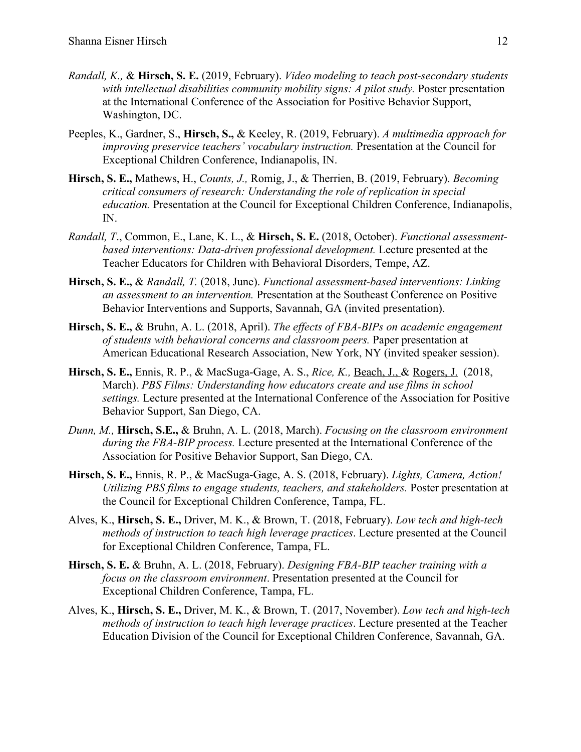- *Randall, K.,* & **Hirsch, S. E.** (2019, February). *Video modeling to teach post-secondary students with intellectual disabilities community mobility signs: A pilot study.* Poster presentation at the International Conference of the Association for Positive Behavior Support, Washington, DC.
- Peeples, K., Gardner, S., **Hirsch, S.,** & Keeley, R. (2019, February). *A multimedia approach for improving preservice teachers' vocabulary instruction.* Presentation at the Council for Exceptional Children Conference, Indianapolis, IN.
- **Hirsch, S. E.,** Mathews, H., *Counts, J.,* Romig, J., & Therrien, B. (2019, February). *Becoming critical consumers of research: Understanding the role of replication in special education.* Presentation at the Council for Exceptional Children Conference, Indianapolis, IN.
- *Randall, T*., Common, E., Lane, K. L., & **Hirsch, S. E.** (2018, October). *Functional assessmentbased interventions: Data-driven professional development.* Lecture presented at the Teacher Educators for Children with Behavioral Disorders, Tempe, AZ.
- **Hirsch, S. E.,** & *Randall, T.* (2018, June). *Functional assessment-based interventions: Linking an assessment to an intervention.* Presentation at the Southeast Conference on Positive Behavior Interventions and Supports, Savannah, GA (invited presentation).
- **Hirsch, S. E.,** & Bruhn, A. L. (2018, April). *The effects of FBA-BIPs on academic engagement of students with behavioral concerns and classroom peers.* Paper presentation at American Educational Research Association, New York, NY (invited speaker session).
- **Hirsch, S. E.,** Ennis, R. P., & MacSuga-Gage, A. S., *Rice, K.,* Beach, J., & Rogers, J. (2018, March). *PBS Films: Understanding how educators create and use films in school settings.* Lecture presented at the International Conference of the Association for Positive Behavior Support, San Diego, CA.
- *Dunn, M.,* **Hirsch, S.E.,** & Bruhn, A. L. (2018, March). *Focusing on the classroom environment during the FBA-BIP process.* Lecture presented at the International Conference of the Association for Positive Behavior Support, San Diego, CA.
- **Hirsch, S. E.,** Ennis, R. P., & MacSuga-Gage, A. S. (2018, February). *Lights, Camera, Action! Utilizing PBS films to engage students, teachers, and stakeholders.* Poster presentation at the Council for Exceptional Children Conference, Tampa, FL.
- Alves, K., **Hirsch, S. E.,** Driver, M. K., & Brown, T. (2018, February). *Low tech and high-tech methods of instruction to teach high leverage practices*. Lecture presented at the Council for Exceptional Children Conference, Tampa, FL.
- **Hirsch, S. E.** & Bruhn, A. L. (2018, February). *Designing FBA-BIP teacher training with a focus on the classroom environment*. Presentation presented at the Council for Exceptional Children Conference, Tampa, FL.
- Alves, K., **Hirsch, S. E.,** Driver, M. K., & Brown, T. (2017, November). *Low tech and high-tech methods of instruction to teach high leverage practices*. Lecture presented at the Teacher Education Division of the Council for Exceptional Children Conference, Savannah, GA.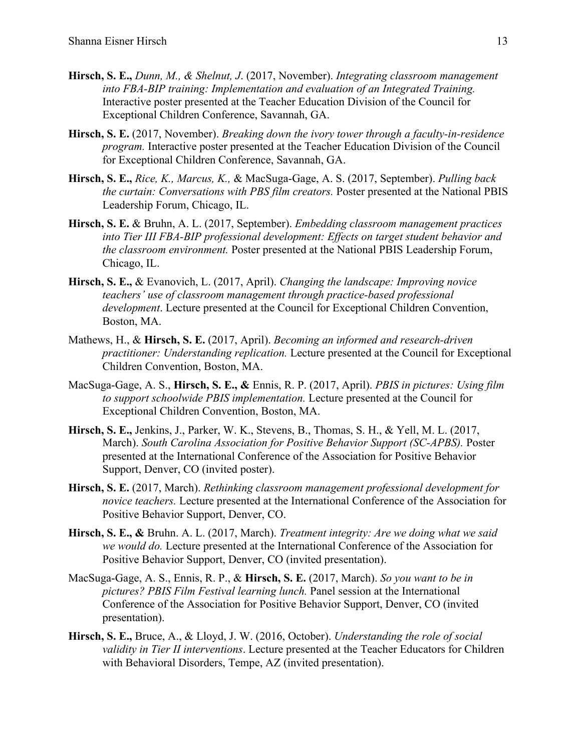- **Hirsch, S. E.,** *Dunn, M., & Shelnut, J*. (2017, November). *Integrating classroom management into FBA-BIP training: Implementation and evaluation of an Integrated Training.* Interactive poster presented at the Teacher Education Division of the Council for Exceptional Children Conference, Savannah, GA.
- **Hirsch, S. E.** (2017, November). *Breaking down the ivory tower through a faculty-in-residence program.* Interactive poster presented at the Teacher Education Division of the Council for Exceptional Children Conference, Savannah, GA.
- **Hirsch, S. E.,** *Rice, K., Marcus, K.,* & MacSuga-Gage, A. S. (2017, September). *Pulling back the curtain: Conversations with PBS film creators.* Poster presented at the National PBIS Leadership Forum, Chicago, IL.
- **Hirsch, S. E.** & Bruhn, A. L. (2017, September). *Embedding classroom management practices into Tier III FBA-BIP professional development: Effects on target student behavior and the classroom environment.* Poster presented at the National PBIS Leadership Forum, Chicago, IL.
- **Hirsch, S. E.,** & Evanovich, L. (2017, April). *Changing the landscape: Improving novice teachers' use of classroom management through practice-based professional development*. Lecture presented at the Council for Exceptional Children Convention, Boston, MA.
- Mathews, H., & **Hirsch, S. E.** (2017, April). *Becoming an informed and research-driven practitioner: Understanding replication.* Lecture presented at the Council for Exceptional Children Convention, Boston, MA.
- MacSuga-Gage, A. S., **Hirsch, S. E., &** Ennis, R. P. (2017, April). *PBIS in pictures: Using film to support schoolwide PBIS implementation.* Lecture presented at the Council for Exceptional Children Convention, Boston, MA.
- **Hirsch, S. E.,** Jenkins, J., Parker, W. K., Stevens, B., Thomas, S. H., & Yell, M. L. (2017, March). *South Carolina Association for Positive Behavior Support (SC-APBS).* Poster presented at the International Conference of the Association for Positive Behavior Support, Denver, CO (invited poster).
- **Hirsch, S. E.** (2017, March). *Rethinking classroom management professional development for novice teachers.* Lecture presented at the International Conference of the Association for Positive Behavior Support, Denver, CO.
- **Hirsch, S. E., &** Bruhn. A. L. (2017, March). *Treatment integrity: Are we doing what we said we would do.* Lecture presented at the International Conference of the Association for Positive Behavior Support, Denver, CO (invited presentation).
- MacSuga-Gage, A. S., Ennis, R. P., & **Hirsch, S. E.** (2017, March). *So you want to be in pictures? PBIS Film Festival learning lunch.* Panel session at the International Conference of the Association for Positive Behavior Support, Denver, CO (invited presentation).
- **Hirsch, S. E.,** Bruce, A., & Lloyd, J. W. (2016, October). *Understanding the role of social validity in Tier II interventions*. Lecture presented at the Teacher Educators for Children with Behavioral Disorders, Tempe, AZ (invited presentation).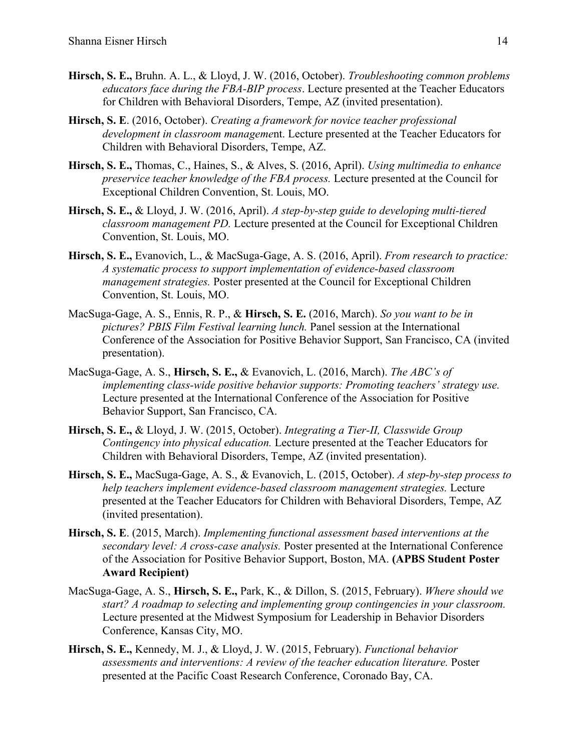- **Hirsch, S. E.,** Bruhn. A. L., & Lloyd, J. W. (2016, October). *Troubleshooting common problems educators face during the FBA-BIP process*. Lecture presented at the Teacher Educators for Children with Behavioral Disorders, Tempe, AZ (invited presentation).
- **Hirsch, S. E**. (2016, October). *Creating a framework for novice teacher professional development in classroom manageme*nt. Lecture presented at the Teacher Educators for Children with Behavioral Disorders, Tempe, AZ.
- **Hirsch, S. E.,** Thomas, C., Haines, S., & Alves, S. (2016, April). *Using multimedia to enhance preservice teacher knowledge of the FBA process.* Lecture presented at the Council for Exceptional Children Convention, St. Louis, MO.
- **Hirsch, S. E.,** & Lloyd, J. W. (2016, April). *A step-by-step guide to developing multi-tiered classroom management PD.* Lecture presented at the Council for Exceptional Children Convention, St. Louis, MO.
- **Hirsch, S. E.,** Evanovich, L., & MacSuga-Gage, A. S. (2016, April). *From research to practice: A systematic process to support implementation of evidence-based classroom management strategies.* Poster presented at the Council for Exceptional Children Convention, St. Louis, MO.
- MacSuga-Gage, A. S., Ennis, R. P., & **Hirsch, S. E.** (2016, March). *So you want to be in pictures? PBIS Film Festival learning lunch.* Panel session at the International Conference of the Association for Positive Behavior Support, San Francisco, CA (invited presentation).
- MacSuga-Gage, A. S., **Hirsch, S. E.,** & Evanovich, L. (2016, March). *The ABC's of implementing class-wide positive behavior supports: Promoting teachers' strategy use.* Lecture presented at the International Conference of the Association for Positive Behavior Support, San Francisco, CA.
- **Hirsch, S. E.,** & Lloyd, J. W. (2015, October). *Integrating a Tier-II, Classwide Group Contingency into physical education.* Lecture presented at the Teacher Educators for Children with Behavioral Disorders, Tempe, AZ (invited presentation).
- **Hirsch, S. E.,** MacSuga-Gage, A. S., & Evanovich, L. (2015, October). *A step-by-step process to help teachers implement evidence-based classroom management strategies.* Lecture presented at the Teacher Educators for Children with Behavioral Disorders, Tempe, AZ (invited presentation).
- **Hirsch, S. E**. (2015, March). *Implementing functional assessment based interventions at the secondary level: A cross-case analysis.* Poster presented at the International Conference of the Association for Positive Behavior Support, Boston, MA. **(APBS Student Poster Award Recipient)**
- MacSuga-Gage, A. S., **Hirsch, S. E.,** Park, K., & Dillon, S. (2015, February). *Where should we start? A roadmap to selecting and implementing group contingencies in your classroom.* Lecture presented at the Midwest Symposium for Leadership in Behavior Disorders Conference, Kansas City, MO.
- **Hirsch, S. E.,** Kennedy, M. J., & Lloyd, J. W. (2015, February). *Functional behavior assessments and interventions: A review of the teacher education literature.* Poster presented at the Pacific Coast Research Conference, Coronado Bay, CA.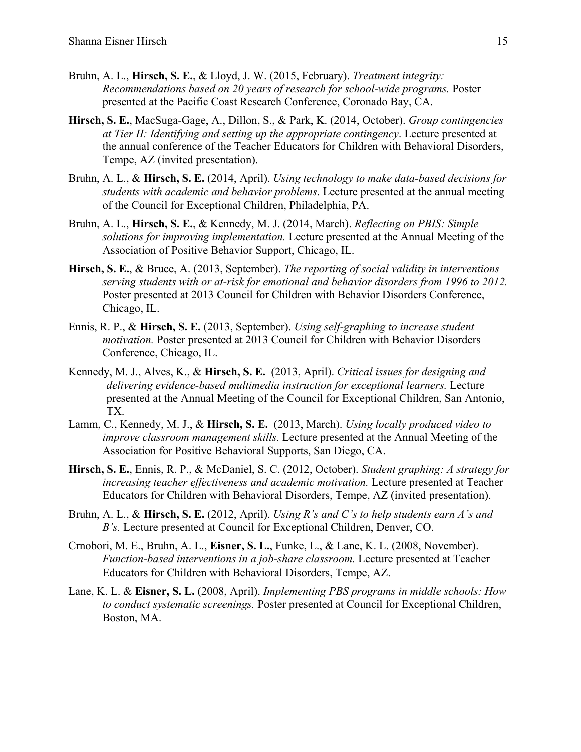- Bruhn, A. L., **Hirsch, S. E.**, & Lloyd, J. W. (2015, February). *Treatment integrity: Recommendations based on 20 years of research for school-wide programs.* Poster presented at the Pacific Coast Research Conference, Coronado Bay, CA.
- **Hirsch, S. E.**, MacSuga-Gage, A., Dillon, S., & Park, K. (2014, October). *Group contingencies at Tier II: Identifying and setting up the appropriate contingency*. Lecture presented at the annual conference of the Teacher Educators for Children with Behavioral Disorders, Tempe, AZ (invited presentation).
- Bruhn, A. L., & **Hirsch, S. E.** (2014, April). *Using technology to make data-based decisions for students with academic and behavior problems*. Lecture presented at the annual meeting of the Council for Exceptional Children, Philadelphia, PA.
- Bruhn, A. L., **Hirsch, S. E.**, & Kennedy, M. J. (2014, March). *Reflecting on PBIS: Simple solutions for improving implementation.* Lecture presented at the Annual Meeting of the Association of Positive Behavior Support, Chicago, IL.
- **Hirsch, S. E.**, & Bruce, A. (2013, September). *The reporting of social validity in interventions serving students with or at-risk for emotional and behavior disorders from 1996 to 2012.* Poster presented at 2013 Council for Children with Behavior Disorders Conference, Chicago, IL.
- Ennis, R. P., & **Hirsch, S. E.** (2013, September). *Using self-graphing to increase student motivation.* Poster presented at 2013 Council for Children with Behavior Disorders Conference, Chicago, IL.
- Kennedy, M. J., Alves, K., & **Hirsch, S. E.** (2013, April). *Critical issues for designing and delivering evidence-based multimedia instruction for exceptional learners.* Lecture presented at the Annual Meeting of the Council for Exceptional Children, San Antonio, TX.
- Lamm, C., Kennedy, M. J., & **Hirsch, S. E.** (2013, March). *Using locally produced video to improve classroom management skills.* Lecture presented at the Annual Meeting of the Association for Positive Behavioral Supports, San Diego, CA.
- **Hirsch, S. E.**, Ennis, R. P., & McDaniel, S. C. (2012, October). *Student graphing: A strategy for increasing teacher effectiveness and academic motivation.* Lecture presented at Teacher Educators for Children with Behavioral Disorders, Tempe, AZ (invited presentation).
- Bruhn, A. L., & **Hirsch, S. E.** (2012, April). *Using R's and C's to help students earn A's and B's.* Lecture presented at Council for Exceptional Children, Denver, CO.
- Crnobori, M. E., Bruhn, A. L., **Eisner, S. L.**, Funke, L., & Lane, K. L. (2008, November). *Function-based interventions in a job-share classroom.* Lecture presented at Teacher Educators for Children with Behavioral Disorders, Tempe, AZ.
- Lane, K. L. & **Eisner, S. L.** (2008, April). *Implementing PBS programs in middle schools: How to conduct systematic screenings.* Poster presented at Council for Exceptional Children, Boston, MA.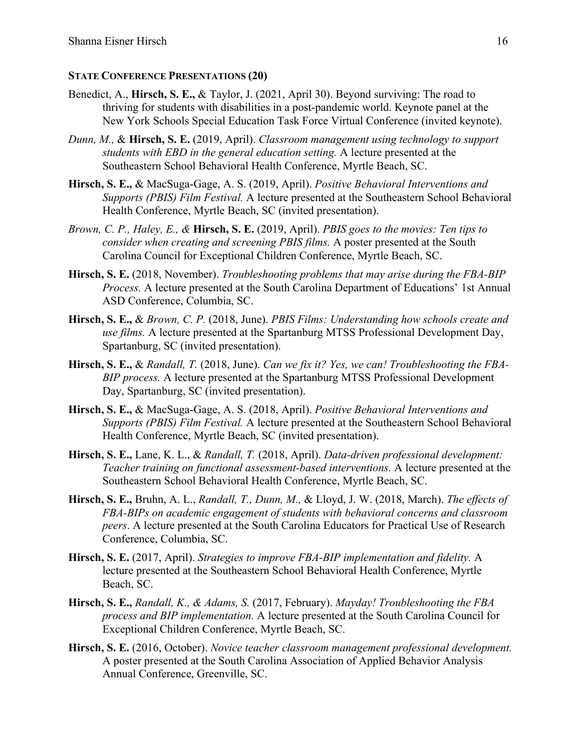## **STATE CONFERENCE PRESENTATIONS (20)**

- Benedict, A., **Hirsch, S. E.,** & Taylor, J. (2021, April 30). Beyond surviving: The road to thriving for students with disabilities in a post-pandemic world. Keynote panel at the New York Schools Special Education Task Force Virtual Conference (invited keynote).
- *Dunn, M.,* & **Hirsch, S. E.** (2019, April). *Classroom management using technology to support students with EBD in the general education setting.* A lecture presented at the Southeastern School Behavioral Health Conference, Myrtle Beach, SC.
- **Hirsch, S. E.,** & MacSuga-Gage, A. S. (2019, April). *Positive Behavioral Interventions and Supports (PBIS) Film Festival.* A lecture presented at the Southeastern School Behavioral Health Conference, Myrtle Beach, SC (invited presentation).
- *Brown, C. P., Haley, E., &* **Hirsch, S. E.** (2019, April). *PBIS goes to the movies: Ten tips to consider when creating and screening PBIS films.* A poster presented at the South Carolina Council for Exceptional Children Conference, Myrtle Beach, SC.
- **Hirsch, S. E.** (2018, November). *Troubleshooting problems that may arise during the FBA-BIP Process.* A lecture presented at the South Carolina Department of Educations' 1st Annual ASD Conference, Columbia, SC.
- **Hirsch, S. E.,** & *Brown, C. P.* (2018, June). *PBIS Films: Understanding how schools create and use films.* A lecture presented at the Spartanburg MTSS Professional Development Day, Spartanburg, SC (invited presentation).
- **Hirsch, S. E.,** & *Randall, T.* (2018, June). *Can we fix it? Yes, we can! Troubleshooting the FBA-BIP process.* A lecture presented at the Spartanburg MTSS Professional Development Day, Spartanburg, SC (invited presentation).
- **Hirsch, S. E.,** & MacSuga-Gage, A. S. (2018, April). *Positive Behavioral Interventions and Supports (PBIS) Film Festival.* A lecture presented at the Southeastern School Behavioral Health Conference, Myrtle Beach, SC (invited presentation).
- **Hirsch, S. E.,** Lane, K. L., & *Randall, T.* (2018, April). *Data-driven professional development: Teacher training on functional assessment-based interventions.* A lecture presented at the Southeastern School Behavioral Health Conference, Myrtle Beach, SC.
- **Hirsch, S. E.,** Bruhn, A. L., *Randall, T., Dunn, M.,* & Lloyd, J. W. (2018, March). *The effects of FBA-BIPs on academic engagement of students with behavioral concerns and classroom peers*. A lecture presented at the South Carolina Educators for Practical Use of Research Conference, Columbia, SC.
- **Hirsch, S. E.** (2017, April). *Strategies to improve FBA-BIP implementation and fidelity.* A lecture presented at the Southeastern School Behavioral Health Conference, Myrtle Beach, SC.
- **Hirsch, S. E.,** *Randall, K., & Adams, S.* (2017, February). *Mayday! Troubleshooting the FBA process and BIP implementation.* A lecture presented at the South Carolina Council for Exceptional Children Conference, Myrtle Beach, SC.
- **Hirsch, S. E.** (2016, October). *Novice teacher classroom management professional development.*  A poster presented at the South Carolina Association of Applied Behavior Analysis Annual Conference, Greenville, SC.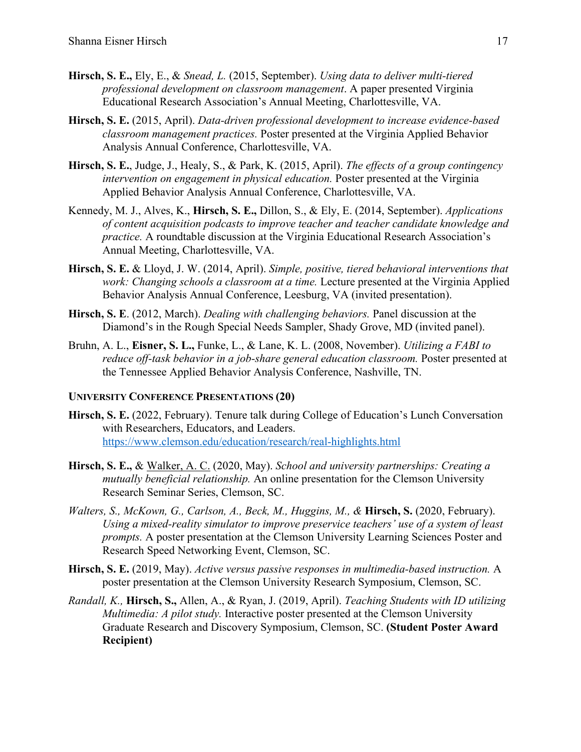- **Hirsch, S. E.,** Ely, E., & *Snead, L.* (2015, September). *Using data to deliver multi-tiered professional development on classroom management*. A paper presented Virginia Educational Research Association's Annual Meeting, Charlottesville, VA.
- **Hirsch, S. E.** (2015, April). *Data-driven professional development to increase evidence-based classroom management practices.* Poster presented at the Virginia Applied Behavior Analysis Annual Conference, Charlottesville, VA.
- **Hirsch, S. E.**, Judge, J., Healy, S., & Park, K. (2015, April). *The effects of a group contingency intervention on engagement in physical education.* Poster presented at the Virginia Applied Behavior Analysis Annual Conference, Charlottesville, VA.
- Kennedy, M. J., Alves, K., **Hirsch, S. E.,** Dillon, S., & Ely, E. (2014, September). *Applications of content acquisition podcasts to improve teacher and teacher candidate knowledge and practice.* A roundtable discussion at the Virginia Educational Research Association's Annual Meeting, Charlottesville, VA.
- **Hirsch, S. E.** & Lloyd, J. W. (2014, April). *Simple, positive, tiered behavioral interventions that work: Changing schools a classroom at a time.* Lecture presented at the Virginia Applied Behavior Analysis Annual Conference, Leesburg, VA (invited presentation).
- **Hirsch, S. E**. (2012, March). *Dealing with challenging behaviors.* Panel discussion at the Diamond's in the Rough Special Needs Sampler, Shady Grove, MD (invited panel).
- Bruhn, A. L., **Eisner, S. L.,** Funke, L., & Lane, K. L. (2008, November). *Utilizing a FABI to reduce off-task behavior in a job-share general education classroom.* Poster presented at the Tennessee Applied Behavior Analysis Conference, Nashville, TN.

## **UNIVERSITY CONFERENCE PRESENTATIONS (20)**

- **Hirsch, S. E.** (2022, February). Tenure talk during College of Education's Lunch Conversation with Researchers, Educators, and Leaders. https://www.clemson.edu/education/research/real-highlights.html
- **Hirsch, S. E.,** & Walker, A. C. (2020, May). *School and university partnerships: Creating a mutually beneficial relationship.* An online presentation for the Clemson University Research Seminar Series, Clemson, SC.
- *Walters, S., McKown, G., Carlson, A., Beck, M., Huggins, M., &* **Hirsch, S.** (2020, February). *Using a mixed-reality simulator to improve preservice teachers' use of a system of least prompts.* A poster presentation at the Clemson University Learning Sciences Poster and Research Speed Networking Event, Clemson, SC.
- **Hirsch, S. E.** (2019, May). *Active versus passive responses in multimedia-based instruction.* A poster presentation at the Clemson University Research Symposium, Clemson, SC.
- *Randall, K.,* **Hirsch, S.,** Allen, A., & Ryan, J. (2019, April). *Teaching Students with ID utilizing Multimedia: A pilot study.* Interactive poster presented at the Clemson University Graduate Research and Discovery Symposium, Clemson, SC. **(Student Poster Award Recipient)**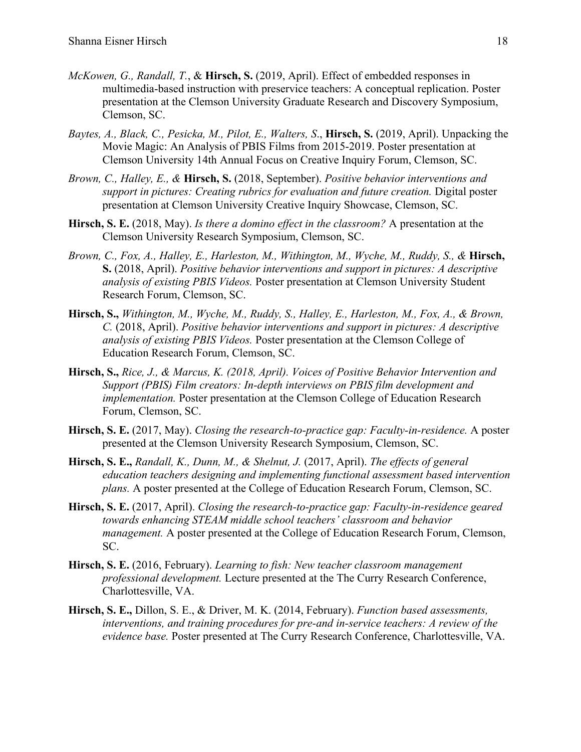- *McKowen, G., Randall, T.*, & **Hirsch, S.** (2019, April). Effect of embedded responses in multimedia-based instruction with preservice teachers: A conceptual replication. Poster presentation at the Clemson University Graduate Research and Discovery Symposium, Clemson, SC.
- *Baytes, A., Black, C., Pesicka, M., Pilot, E., Walters, S*., **Hirsch, S.** (2019, April). Unpacking the Movie Magic: An Analysis of PBIS Films from 2015-2019. Poster presentation at Clemson University 14th Annual Focus on Creative Inquiry Forum, Clemson, SC.
- *Brown, C., Halley, E., &* **Hirsch, S.** (2018, September). *Positive behavior interventions and support in pictures: Creating rubrics for evaluation and future creation.* Digital poster presentation at Clemson University Creative Inquiry Showcase, Clemson, SC.
- **Hirsch, S. E.** (2018, May). *Is there a domino effect in the classroom?* A presentation at the Clemson University Research Symposium, Clemson, SC.
- *Brown, C., Fox, A., Halley, E., Harleston, M., Withington, M., Wyche, M., Ruddy, S., &* **Hirsch, S.** (2018, April). *Positive behavior interventions and support in pictures: A descriptive analysis of existing PBIS Videos.* Poster presentation at Clemson University Student Research Forum, Clemson, SC.
- **Hirsch, S.,** *Withington, M., Wyche, M., Ruddy, S., Halley, E., Harleston, M., Fox, A., & Brown, C.* (2018, April). *Positive behavior interventions and support in pictures: A descriptive analysis of existing PBIS Videos.* Poster presentation at the Clemson College of Education Research Forum, Clemson, SC.
- **Hirsch, S.,** *Rice, J., & Marcus, K. (2018, April). Voices of Positive Behavior Intervention and Support (PBIS) Film creators: In-depth interviews on PBIS film development and implementation.* Poster presentation at the Clemson College of Education Research Forum, Clemson, SC.
- **Hirsch, S. E.** (2017, May). *Closing the research-to-practice gap: Faculty-in-residence.* A poster presented at the Clemson University Research Symposium, Clemson, SC.
- **Hirsch, S. E.,** *Randall, K., Dunn, M., & Shelnut, J.* (2017, April). *The effects of general education teachers designing and implementing functional assessment based intervention plans.* A poster presented at the College of Education Research Forum, Clemson, SC.
- **Hirsch, S. E.** (2017, April). *Closing the research-to-practice gap: Faculty-in-residence geared towards enhancing STEAM middle school teachers' classroom and behavior management.* A poster presented at the College of Education Research Forum, Clemson, SC.
- **Hirsch, S. E.** (2016, February). *Learning to fish: New teacher classroom management professional development.* Lecture presented at the The Curry Research Conference, Charlottesville, VA.
- **Hirsch, S. E.,** Dillon, S. E., & Driver, M. K. (2014, February). *Function based assessments, interventions, and training procedures for pre-and in-service teachers: A review of the evidence base.* Poster presented at The Curry Research Conference, Charlottesville, VA.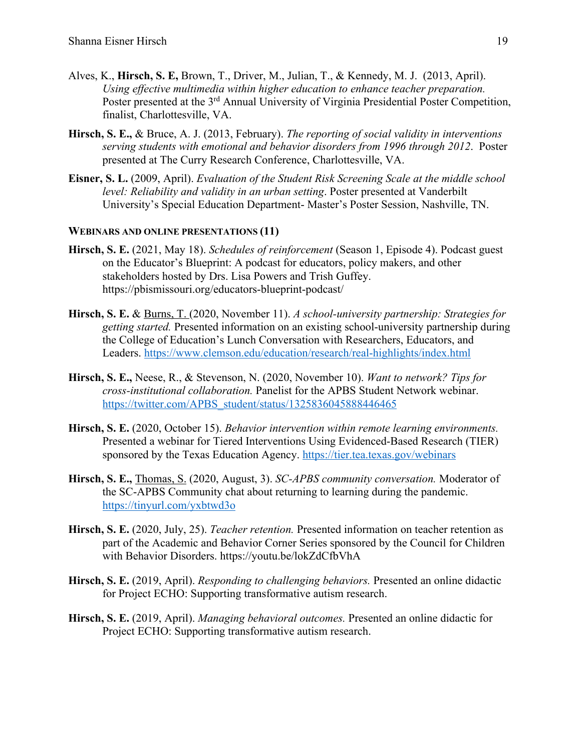- Alves, K., **Hirsch, S. E,** Brown, T., Driver, M., Julian, T., & Kennedy, M. J. (2013, April). *Using effective multimedia within higher education to enhance teacher preparation.* Poster presented at the 3<sup>rd</sup> Annual University of Virginia Presidential Poster Competition, finalist, Charlottesville, VA.
- **Hirsch, S. E.,** & Bruce, A. J. (2013, February). *The reporting of social validity in interventions serving students with emotional and behavior disorders from 1996 through 2012*. Poster presented at The Curry Research Conference, Charlottesville, VA.
- **Eisner, S. L.** (2009, April). *Evaluation of the Student Risk Screening Scale at the middle school level: Reliability and validity in an urban setting*. Poster presented at Vanderbilt University's Special Education Department- Master's Poster Session, Nashville, TN.

### **WEBINARS AND ONLINE PRESENTATIONS (11)**

- **Hirsch, S. E.** (2021, May 18). *Schedules of reinforcement* (Season 1, Episode 4). Podcast guest on the Educator's Blueprint: A podcast for educators, policy makers, and other stakeholders hosted by Drs. Lisa Powers and Trish Guffey. https://pbismissouri.org/educators-blueprint-podcast/
- **Hirsch, S. E.** & Burns, T. (2020, November 11). *A school-university partnership: Strategies for getting started.* Presented information on an existing school-university partnership during the College of Education's Lunch Conversation with Researchers, Educators, and Leaders. https://www.clemson.edu/education/research/real-highlights/index.html
- **Hirsch, S. E.,** Neese, R., & Stevenson, N. (2020, November 10). *Want to network? Tips for cross-institutional collaboration.* Panelist for the APBS Student Network webinar. https://twitter.com/APBS\_student/status/1325836045888446465
- **Hirsch, S. E.** (2020, October 15). *Behavior intervention within remote learning environments.*  Presented a webinar for Tiered Interventions Using Evidenced-Based Research (TIER) sponsored by the Texas Education Agency. https://tier.tea.texas.gov/webinars
- **Hirsch, S. E.,** Thomas, S. (2020, August, 3). *SC-APBS community conversation.* Moderator of the SC-APBS Community chat about returning to learning during the pandemic. https://tinyurl.com/yxbtwd3o
- **Hirsch, S. E.** (2020, July, 25). *Teacher retention.* Presented information on teacher retention as part of the Academic and Behavior Corner Series sponsored by the Council for Children with Behavior Disorders. https://youtu.be/lokZdCfbVhA
- **Hirsch, S. E.** (2019, April). *Responding to challenging behaviors.* Presented an online didactic for Project ECHO: Supporting transformative autism research.
- **Hirsch, S. E.** (2019, April). *Managing behavioral outcomes.* Presented an online didactic for Project ECHO: Supporting transformative autism research.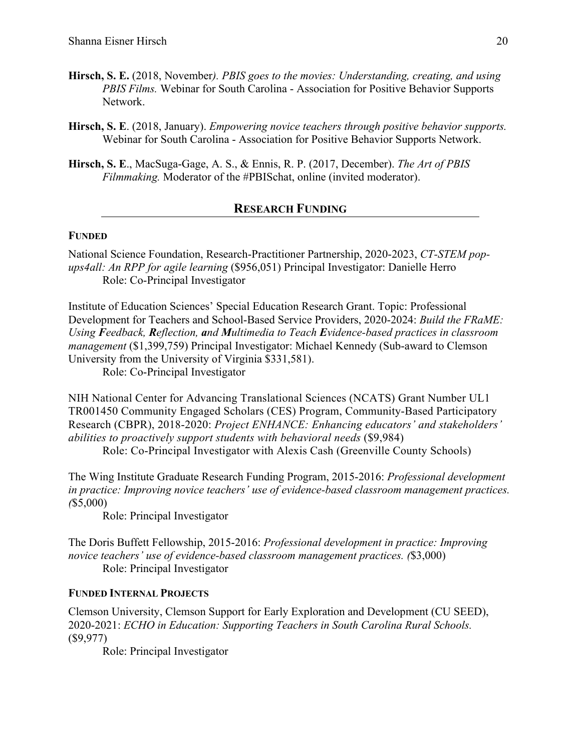- **Hirsch, S. E.** (2018, November*). PBIS goes to the movies: Understanding, creating, and using PBIS Films.* Webinar for South Carolina - Association for Positive Behavior Supports Network.
- **Hirsch, S. E**. (2018, January). *Empowering novice teachers through positive behavior supports.* Webinar for South Carolina - Association for Positive Behavior Supports Network.
- **Hirsch, S. E**., MacSuga-Gage, A. S., & Ennis, R. P. (2017, December). *The Art of PBIS Filmmaking.* Moderator of the #PBISchat, online (invited moderator).

## **RESEARCH FUNDING**

### **FUNDED**

National Science Foundation, Research-Practitioner Partnership, 2020-2023, *CT-STEM popups4all: An RPP for agile learning* (\$956,051) Principal Investigator: Danielle Herro Role: Co-Principal Investigator

Institute of Education Sciences' Special Education Research Grant. Topic: Professional Development for Teachers and School-Based Service Providers, 2020-2024: *Build the FRaME: Using Feedback, Reflection, and Multimedia to Teach Evidence-based practices in classroom management* (\$1,399,759) Principal Investigator: Michael Kennedy (Sub-award to Clemson University from the University of Virginia \$331,581).

Role: Co-Principal Investigator

NIH National Center for Advancing Translational Sciences (NCATS) Grant Number UL1 TR001450 Community Engaged Scholars (CES) Program, Community-Based Participatory Research (CBPR), 2018-2020: *Project ENHANCE: Enhancing educators' and stakeholders' abilities to proactively support students with behavioral needs* (\$9,984)

Role: Co-Principal Investigator with Alexis Cash (Greenville County Schools)

The Wing Institute Graduate Research Funding Program, 2015-2016: *Professional development in practice: Improving novice teachers' use of evidence-based classroom management practices. (*\$5,000)

Role: Principal Investigator

The Doris Buffett Fellowship, 2015-2016: *Professional development in practice: Improving novice teachers' use of evidence-based classroom management practices. (*\$3,000) Role: Principal Investigator

#### **FUNDED INTERNAL PROJECTS**

Clemson University, Clemson Support for Early Exploration and Development (CU SEED), 2020-2021: *ECHO in Education: Supporting Teachers in South Carolina Rural Schools.* (\$9,977)

Role: Principal Investigator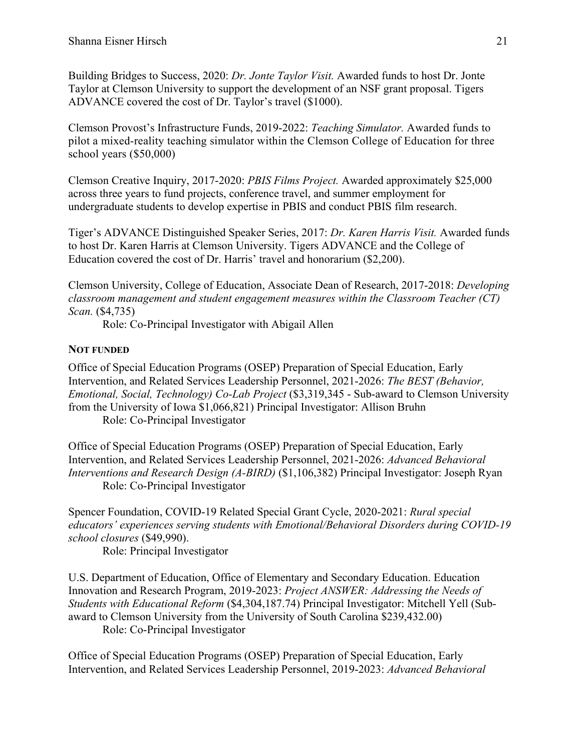Building Bridges to Success, 2020: *Dr. Jonte Taylor Visit.* Awarded funds to host Dr. Jonte Taylor at Clemson University to support the development of an NSF grant proposal. Tigers ADVANCE covered the cost of Dr. Taylor's travel (\$1000).

Clemson Provost's Infrastructure Funds, 2019-2022: *Teaching Simulator.* Awarded funds to pilot a mixed-reality teaching simulator within the Clemson College of Education for three school years (\$50,000)

Clemson Creative Inquiry, 2017-2020: *PBIS Films Project.* Awarded approximately \$25,000 across three years to fund projects, conference travel, and summer employment for undergraduate students to develop expertise in PBIS and conduct PBIS film research.

Tiger's ADVANCE Distinguished Speaker Series, 2017: *Dr. Karen Harris Visit.* Awarded funds to host Dr. Karen Harris at Clemson University. Tigers ADVANCE and the College of Education covered the cost of Dr. Harris' travel and honorarium (\$2,200).

Clemson University, College of Education, Associate Dean of Research, 2017-2018: *Developing classroom management and student engagement measures within the Classroom Teacher (CT) Scan.* (\$4,735)

Role: Co-Principal Investigator with Abigail Allen

## **NOT FUNDED**

Office of Special Education Programs (OSEP) Preparation of Special Education, Early Intervention, and Related Services Leadership Personnel, 2021-2026: *The BEST (Behavior, Emotional, Social, Technology) Co-Lab Project* (\$3,319,345 - Sub-award to Clemson University from the University of Iowa \$1,066,821) Principal Investigator: Allison Bruhn Role: Co-Principal Investigator

Office of Special Education Programs (OSEP) Preparation of Special Education, Early Intervention, and Related Services Leadership Personnel, 2021-2026: *Advanced Behavioral Interventions and Research Design (A-BIRD)* (\$1,106,382) Principal Investigator: Joseph Ryan Role: Co-Principal Investigator

Spencer Foundation, COVID-19 Related Special Grant Cycle, 2020-2021: *Rural special educators' experiences serving students with Emotional/Behavioral Disorders during COVID-19 school closures* (\$49,990).

Role: Principal Investigator

U.S. Department of Education, Office of Elementary and Secondary Education. Education Innovation and Research Program, 2019-2023: *Project ANSWER: Addressing the Needs of Students with Educational Reform* (\$4,304,187.74) Principal Investigator: Mitchell Yell (Subaward to Clemson University from the University of South Carolina \$239,432.00) Role: Co-Principal Investigator

Office of Special Education Programs (OSEP) Preparation of Special Education, Early Intervention, and Related Services Leadership Personnel, 2019-2023: *Advanced Behavioral*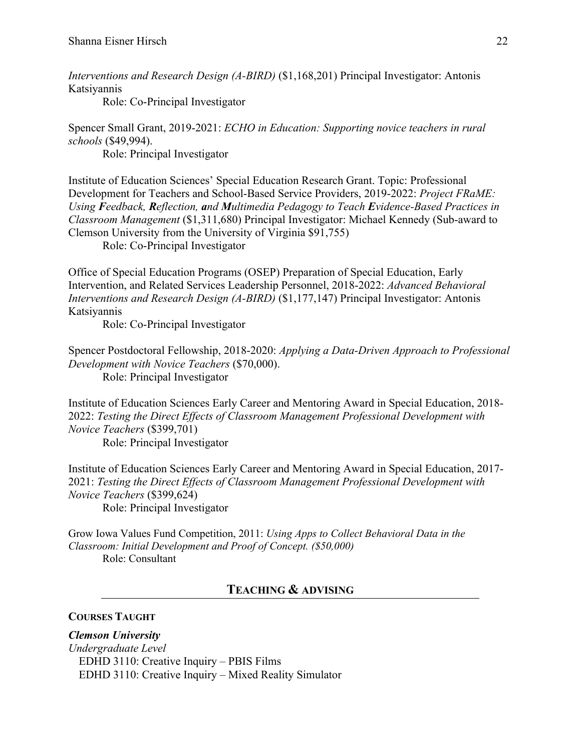*Interventions and Research Design (A-BIRD)* (\$1,168,201) Principal Investigator: Antonis Katsiyannis

Role: Co-Principal Investigator

Spencer Small Grant, 2019-2021: *ECHO in Education: Supporting novice teachers in rural schools* (\$49,994).

Role: Principal Investigator

Institute of Education Sciences' Special Education Research Grant. Topic: Professional Development for Teachers and School-Based Service Providers, 2019-2022: *Project FRaME: Using Feedback, Reflection, and Multimedia Pedagogy to Teach Evidence-Based Practices in Classroom Management* (\$1,311,680) Principal Investigator: Michael Kennedy (Sub-award to Clemson University from the University of Virginia \$91,755)

Role: Co-Principal Investigator

Office of Special Education Programs (OSEP) Preparation of Special Education, Early Intervention, and Related Services Leadership Personnel, 2018-2022: *Advanced Behavioral Interventions and Research Design (A-BIRD)* (\$1,177,147) Principal Investigator: Antonis Katsiyannis

Role: Co-Principal Investigator

Spencer Postdoctoral Fellowship, 2018-2020: *Applying a Data-Driven Approach to Professional Development with Novice Teachers* (\$70,000). Role: Principal Investigator

Institute of Education Sciences Early Career and Mentoring Award in Special Education, 2018- 2022: *Testing the Direct Effects of Classroom Management Professional Development with Novice Teachers* (\$399,701)

Role: Principal Investigator

Institute of Education Sciences Early Career and Mentoring Award in Special Education, 2017- 2021: *Testing the Direct Effects of Classroom Management Professional Development with Novice Teachers* (\$399,624)

Role: Principal Investigator

Grow Iowa Values Fund Competition, 2011: *Using Apps to Collect Behavioral Data in the Classroom: Initial Development and Proof of Concept. (\$50,000)*  Role: Consultant

## **TEACHING & ADVISING**

## **COURSES TAUGHT**

*Clemson University Undergraduate Level* EDHD 3110: Creative Inquiry – PBIS Films EDHD 3110: Creative Inquiry – Mixed Reality Simulator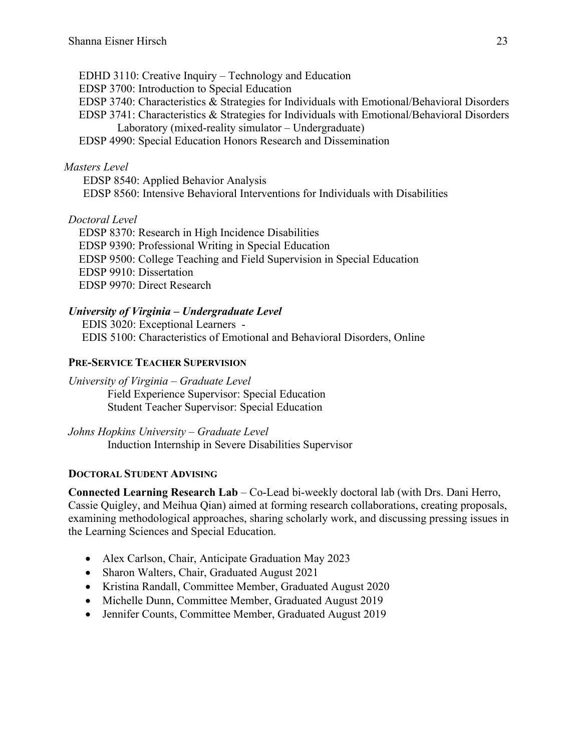EDHD 3110: Creative Inquiry – Technology and Education EDSP 3700: Introduction to Special Education EDSP 3740: Characteristics & Strategies for Individuals with Emotional/Behavioral Disorders EDSP 3741: Characteristics & Strategies for Individuals with Emotional/Behavioral Disorders Laboratory (mixed-reality simulator – Undergraduate) EDSP 4990: Special Education Honors Research and Dissemination

### *Masters Level*

EDSP 8540: Applied Behavior Analysis EDSP 8560: Intensive Behavioral Interventions for Individuals with Disabilities

## *Doctoral Level*

EDSP 8370: Research in High Incidence Disabilities EDSP 9390: Professional Writing in Special Education EDSP 9500: College Teaching and Field Supervision in Special Education EDSP 9910: Dissertation EDSP 9970: Direct Research

## *University of Virginia – Undergraduate Level*

EDIS 3020: Exceptional Learners - EDIS 5100: Characteristics of Emotional and Behavioral Disorders, Online

### **PRE-SERVICE TEACHER SUPERVISION**

*University of Virginia – Graduate Level* Field Experience Supervisor: Special Education Student Teacher Supervisor: Special Education

*Johns Hopkins University – Graduate Level* Induction Internship in Severe Disabilities Supervisor

### **DOCTORAL STUDENT ADVISING**

**Connected Learning Research Lab** – Co-Lead bi-weekly doctoral lab (with Drs. Dani Herro, Cassie Quigley, and Meihua Qian) aimed at forming research collaborations, creating proposals, examining methodological approaches, sharing scholarly work, and discussing pressing issues in the Learning Sciences and Special Education.

- Alex Carlson, Chair, Anticipate Graduation May 2023
- Sharon Walters, Chair, Graduated August 2021
- Kristina Randall, Committee Member, Graduated August 2020
- Michelle Dunn, Committee Member, Graduated August 2019
- Jennifer Counts, Committee Member, Graduated August 2019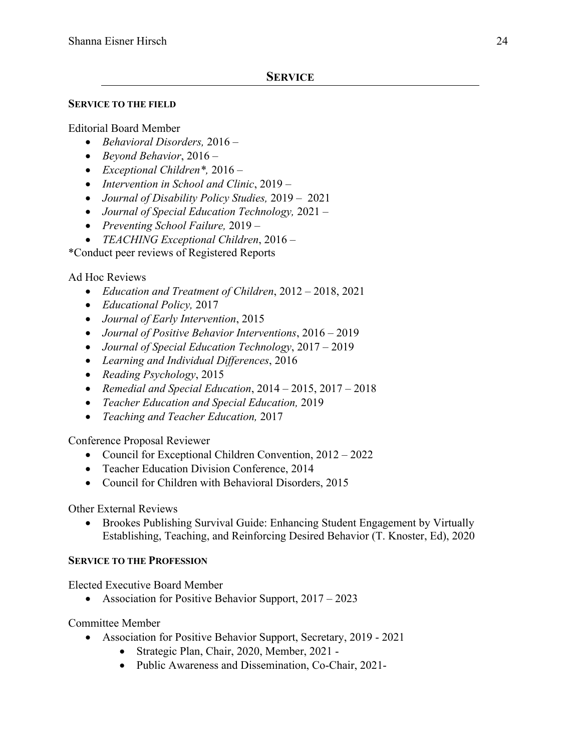## **SERVICE TO THE FIELD**

## Editorial Board Member

- *Behavioral Disorders,* 2016 –
- *Beyond Behavior*, 2016 –
- *Exceptional Children\*,* 2016 –
- *Intervention in School and Clinic*, 2019 –
- *Journal of Disability Policy Studies,* 2019 2021
- *Journal of Special Education Technology,* 2021 –
- *Preventing School Failure,* 2019 –
- *TEACHING Exceptional Children*, 2016 –

\*Conduct peer reviews of Registered Reports

## Ad Hoc Reviews

- *Education and Treatment of Children*, 2012 2018, 2021
- *Educational Policy,* 2017
- *Journal of Early Intervention*, 2015
- *Journal of Positive Behavior Interventions*, 2016 2019
- *Journal of Special Education Technology*, 2017 2019
- *Learning and Individual Differences*, 2016
- *Reading Psychology*, 2015
- *Remedial and Special Education*, 2014 2015, 2017 2018
- *Teacher Education and Special Education,* 2019
- *Teaching and Teacher Education,* 2017

Conference Proposal Reviewer

- Council for Exceptional Children Convention, 2012 2022
- Teacher Education Division Conference, 2014
- Council for Children with Behavioral Disorders, 2015

Other External Reviews

• Brookes Publishing Survival Guide: Enhancing Student Engagement by Virtually Establishing, Teaching, and Reinforcing Desired Behavior (T. Knoster, Ed), 2020

## **SERVICE TO THE PROFESSION**

Elected Executive Board Member

• Association for Positive Behavior Support, 2017 – 2023

Committee Member

- Association for Positive Behavior Support, Secretary, 2019 2021
	- Strategic Plan, Chair, 2020, Member, 2021 -
	- Public Awareness and Dissemination, Co-Chair, 2021-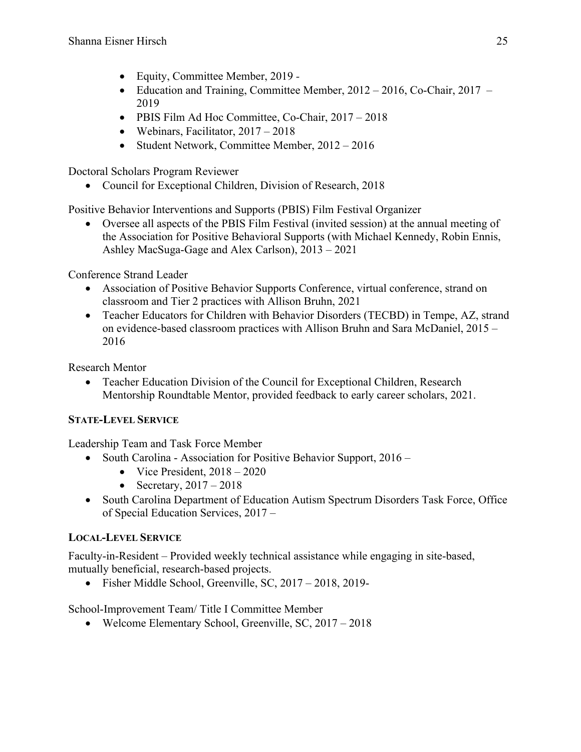- Equity, Committee Member, 2019 *-*
- Education and Training, Committee Member, 2012 2016, Co-Chair, 2017 2019
- PBIS Film Ad Hoc Committee, Co-Chair, 2017 2018
- Webinars, Facilitator,  $2017 2018$
- Student Network, Committee Member, 2012 2016

Doctoral Scholars Program Reviewer

• Council for Exceptional Children, Division of Research, 2018

Positive Behavior Interventions and Supports (PBIS) Film Festival Organizer

• Oversee all aspects of the PBIS Film Festival (invited session) at the annual meeting of the Association for Positive Behavioral Supports (with Michael Kennedy, Robin Ennis, Ashley MacSuga-Gage and Alex Carlson), 2013 – 2021

Conference Strand Leader

- Association of Positive Behavior Supports Conference, virtual conference, strand on classroom and Tier 2 practices with Allison Bruhn, 2021
- Teacher Educators for Children with Behavior Disorders (TECBD) in Tempe, AZ, strand on evidence-based classroom practices with Allison Bruhn and Sara McDaniel, 2015 – 2016

Research Mentor

• Teacher Education Division of the Council for Exceptional Children, Research Mentorship Roundtable Mentor, provided feedback to early career scholars, 2021.

## **STATE-LEVEL SERVICE**

Leadership Team and Task Force Member

- South Carolina Association for Positive Behavior Support, 2016
	- Vice President,  $2018 2020$
	- Secretary,  $2017 2018$
- South Carolina Department of Education Autism Spectrum Disorders Task Force, Office of Special Education Services, 2017 –

## **LOCAL-LEVEL SERVICE**

Faculty-in-Resident – Provided weekly technical assistance while engaging in site-based, mutually beneficial, research-based projects.

• Fisher Middle School, Greenville, SC, 2017 – 2018, 2019-

School-Improvement Team/ Title I Committee Member

• Welcome Elementary School, Greenville, SC, 2017 – 2018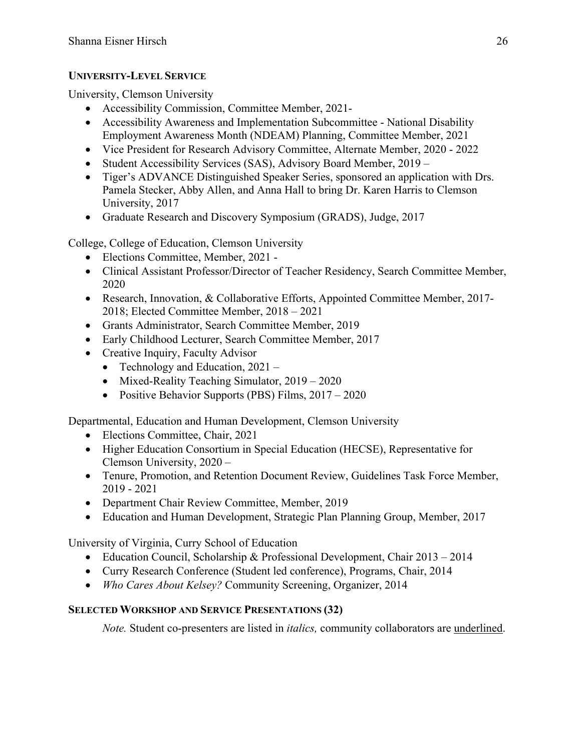## **UNIVERSITY-LEVEL SERVICE**

University, Clemson University

- Accessibility Commission, Committee Member, 2021-
- Accessibility Awareness and Implementation Subcommittee National Disability Employment Awareness Month (NDEAM) Planning, Committee Member, 2021
- Vice President for Research Advisory Committee, Alternate Member, 2020 2022
- Student Accessibility Services (SAS), Advisory Board Member, 2019 –
- Tiger's ADVANCE Distinguished Speaker Series, sponsored an application with Drs. Pamela Stecker, Abby Allen, and Anna Hall to bring Dr. Karen Harris to Clemson University, 2017
- Graduate Research and Discovery Symposium (GRADS), Judge, 2017

College, College of Education, Clemson University

- Elections Committee, Member, 2021 -
- Clinical Assistant Professor/Director of Teacher Residency, Search Committee Member, 2020
- Research, Innovation, & Collaborative Efforts, Appointed Committee Member, 2017-2018; Elected Committee Member, 2018 – 2021
- Grants Administrator, Search Committee Member, 2019
- Early Childhood Lecturer, Search Committee Member, 2017
- Creative Inquiry, Faculty Advisor
	- Technology and Education,  $2021 -$
	- Mixed-Reality Teaching Simulator, 2019 2020
	- Positive Behavior Supports (PBS) Films, 2017 2020

Departmental, Education and Human Development, Clemson University

- Elections Committee, Chair, 2021
- Higher Education Consortium in Special Education (HECSE), Representative for Clemson University, 2020 –
- Tenure, Promotion, and Retention Document Review, Guidelines Task Force Member, 2019 - 2021
- Department Chair Review Committee, Member, 2019
- Education and Human Development, Strategic Plan Planning Group, Member, 2017

University of Virginia, Curry School of Education

- Education Council, Scholarship & Professional Development, Chair 2013 2014
- Curry Research Conference (Student led conference), Programs, Chair, 2014
- *Who Cares About Kelsey?* Community Screening, Organizer, 2014

## **SELECTED WORKSHOP AND SERVICE PRESENTATIONS (32)**

*Note.* Student co-presenters are listed in *italics,* community collaborators are underlined.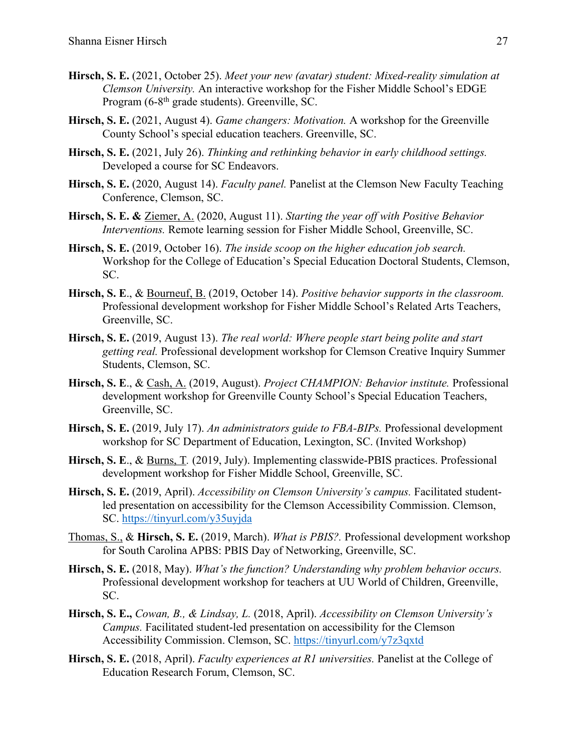- **Hirsch, S. E.** (2021, October 25). *Meet your new (avatar) student: Mixed-reality simulation at Clemson University.* An interactive workshop for the Fisher Middle School's EDGE Program (6-8<sup>th</sup> grade students). Greenville, SC.
- **Hirsch, S. E.** (2021, August 4). *Game changers: Motivation.* A workshop for the Greenville County School's special education teachers. Greenville, SC.
- **Hirsch, S. E.** (2021, July 26). *Thinking and rethinking behavior in early childhood settings.* Developed a course for SC Endeavors.
- **Hirsch, S. E.** (2020, August 14). *Faculty panel.* Panelist at the Clemson New Faculty Teaching Conference, Clemson, SC.
- **Hirsch, S. E. &** Ziemer, A. (2020, August 11). *Starting the year off with Positive Behavior Interventions.* Remote learning session for Fisher Middle School, Greenville, SC.
- **Hirsch, S. E.** (2019, October 16). *The inside scoop on the higher education job search.* Workshop for the College of Education's Special Education Doctoral Students, Clemson, SC.
- **Hirsch, S. E**., & Bourneuf, B. (2019, October 14). *Positive behavior supports in the classroom.* Professional development workshop for Fisher Middle School's Related Arts Teachers, Greenville, SC.
- **Hirsch, S. E.** (2019, August 13). *The real world: Where people start being polite and start getting real.* Professional development workshop for Clemson Creative Inquiry Summer Students, Clemson, SC.
- **Hirsch, S. E**., & Cash, A. (2019, August). *Project CHAMPION: Behavior institute.* Professional development workshop for Greenville County School's Special Education Teachers, Greenville, SC.
- **Hirsch, S. E.** (2019, July 17). *An administrators guide to FBA-BIPs.* Professional development workshop for SC Department of Education, Lexington, SC. (Invited Workshop)
- **Hirsch, S. E**., & Burns, T*.* (2019, July). Implementing classwide-PBIS practices. Professional development workshop for Fisher Middle School, Greenville, SC.
- **Hirsch, S. E.** (2019, April). *Accessibility on Clemson University's campus.* Facilitated studentled presentation on accessibility for the Clemson Accessibility Commission. Clemson, SC. https://tinyurl.com/y35uyjda
- Thomas, S., & **Hirsch, S. E.** (2019, March). *What is PBIS?.* Professional development workshop for South Carolina APBS: PBIS Day of Networking, Greenville, SC.
- **Hirsch, S. E.** (2018, May). *What's the function? Understanding why problem behavior occurs.*  Professional development workshop for teachers at UU World of Children, Greenville, SC.
- **Hirsch, S. E.,** *Cowan, B., & Lindsay, L.* (2018, April). *Accessibility on Clemson University's Campus.* Facilitated student-led presentation on accessibility for the Clemson Accessibility Commission. Clemson, SC. https://tinyurl.com/y7z3qxtd
- **Hirsch, S. E.** (2018, April). *Faculty experiences at R1 universities.* Panelist at the College of Education Research Forum, Clemson, SC.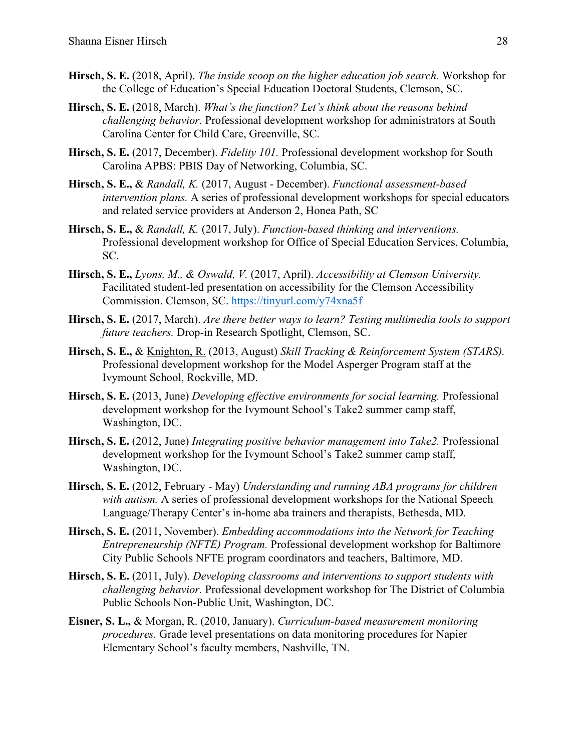- **Hirsch, S. E.** (2018, April). *The inside scoop on the higher education job search.* Workshop for the College of Education's Special Education Doctoral Students, Clemson, SC.
- **Hirsch, S. E.** (2018, March). *What's the function? Let's think about the reasons behind challenging behavior.* Professional development workshop for administrators at South Carolina Center for Child Care, Greenville, SC.
- **Hirsch, S. E.** (2017, December). *Fidelity 101.* Professional development workshop for South Carolina APBS: PBIS Day of Networking, Columbia, SC.
- **Hirsch, S. E.,** & *Randall, K.* (2017, August December). *Functional assessment-based intervention plans.* A series of professional development workshops for special educators and related service providers at Anderson 2, Honea Path, SC
- **Hirsch, S. E.,** & *Randall, K.* (2017, July). *Function-based thinking and interventions.* Professional development workshop for Office of Special Education Services, Columbia, SC.
- **Hirsch, S. E.,** *Lyons, M., & Oswald, V.* (2017, April). *Accessibility at Clemson University.* Facilitated student-led presentation on accessibility for the Clemson Accessibility Commission. Clemson, SC. https://tinyurl.com/y74xna5f
- **Hirsch, S. E.** (2017, March). *Are there better ways to learn? Testing multimedia tools to support future teachers.* Drop-in Research Spotlight, Clemson, SC.
- **Hirsch, S. E.,** & Knighton, R. (2013, August) *Skill Tracking & Reinforcement System (STARS).* Professional development workshop for the Model Asperger Program staff at the Ivymount School, Rockville, MD.
- **Hirsch, S. E.** (2013, June) *Developing effective environments for social learning.* Professional development workshop for the Ivymount School's Take2 summer camp staff, Washington, DC.
- **Hirsch, S. E.** (2012, June) *Integrating positive behavior management into Take2.* Professional development workshop for the Ivymount School's Take2 summer camp staff, Washington, DC.
- **Hirsch, S. E.** (2012, February May) *Understanding and running ABA programs for children with autism.* A series of professional development workshops for the National Speech Language/Therapy Center's in-home aba trainers and therapists, Bethesda, MD.
- **Hirsch, S. E.** (2011, November). *Embedding accommodations into the Network for Teaching Entrepreneurship (NFTE) Program.* Professional development workshop for Baltimore City Public Schools NFTE program coordinators and teachers, Baltimore, MD.
- **Hirsch, S. E.** (2011, July). *Developing classrooms and interventions to support students with challenging behavior.* Professional development workshop for The District of Columbia Public Schools Non-Public Unit, Washington, DC.
- **Eisner, S. L.,** & Morgan, R. (2010, January). *Curriculum-based measurement monitoring procedures.* Grade level presentations on data monitoring procedures for Napier Elementary School's faculty members, Nashville, TN.